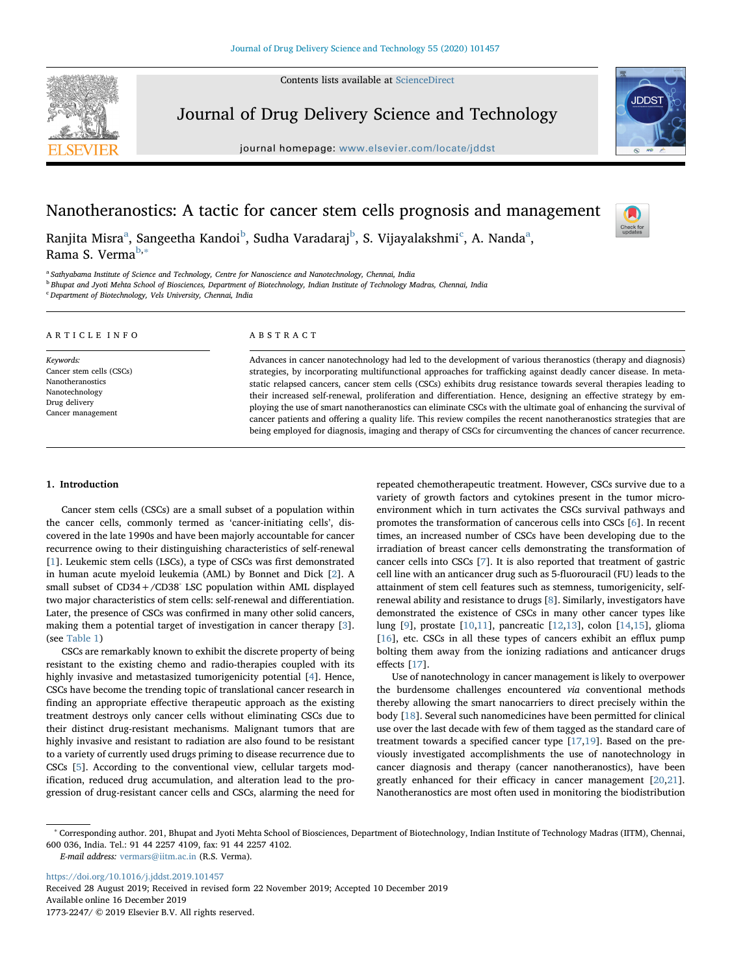Contents lists available at [ScienceDirect](http://www.sciencedirect.com/science/journal/17732247)



Journal of Drug Delivery Science and Technology

journal homepage: [www.elsevier.com/locate/jddst](https://www.elsevier.com/locate/jddst)



Check for<br>updates

# Nanotheranostics: A tactic for cancer stem cells prognosis and management

R[a](#page-0-0)njita Misra<sup>a</sup>, Sangeetha Kandoi<sup>[b](#page-0-1)</sup>, Sudha Varadaraj<sup>b</sup>, S. Vijayalakshmi<sup>[c](#page-0-2)</sup>, A. Nanda<sup>a</sup>, Rama S. Verma<sup>[b,](#page-0-1)[∗](#page-0-3)</sup>

<span id="page-0-0"></span><sup>a</sup> Sathyabama Institute of Science and Technology, Centre for Nanoscience and Nanotechnology, Chennai, India

<span id="page-0-1"></span>**b Bhupat and Jyoti Mehta School of Biosciences, Department of Biotechnology, Indian Institute of Technology Madras, Chennai, India** 

<span id="page-0-2"></span><sup>c</sup> Department of Biotechnology, Vels University, Chennai, India

| ARTICLE INFO                                                                                                      | ABSTRACT                                                                                                                                                                                                                                                                                                                                                                                                                                                                                                                                                                                                                                                                                                                                                                                                                       |
|-------------------------------------------------------------------------------------------------------------------|--------------------------------------------------------------------------------------------------------------------------------------------------------------------------------------------------------------------------------------------------------------------------------------------------------------------------------------------------------------------------------------------------------------------------------------------------------------------------------------------------------------------------------------------------------------------------------------------------------------------------------------------------------------------------------------------------------------------------------------------------------------------------------------------------------------------------------|
| Keywords:<br>Cancer stem cells (CSCs)<br>Nanotheranostics<br>Nanotechnology<br>Drug delivery<br>Cancer management | Advances in cancer nanotechnology had led to the development of various theranostics (therapy and diagnosis)<br>strategies, by incorporating multifunctional approaches for trafficking against deadly cancer disease. In meta-<br>static relapsed cancers, cancer stem cells (CSCs) exhibits drug resistance towards several therapies leading to<br>their increased self-renewal, proliferation and differentiation. Hence, designing an effective strategy by em-<br>ploying the use of smart nanotheranostics can eliminate CSCs with the ultimate goal of enhancing the survival of<br>cancer patients and offering a quality life. This review compiles the recent nanotheranostics strategies that are<br>being employed for diagnosis, imaging and therapy of CSCs for circumventing the chances of cancer recurrence. |

# 1. Introduction

Cancer stem cells (CSCs) are a small subset of a population within the cancer cells, commonly termed as 'cancer-initiating cells', discovered in the late 1990s and have been majorly accountable for cancer recurrence owing to their distinguishing characteristics of self-renewal [[1](#page-8-0)]. Leukemic stem cells (LSCs), a type of CSCs was first demonstrated in human acute myeloid leukemia (AML) by Bonnet and Dick [[2](#page-8-1)]. A small subset of CD34+/CD38- LSC population within AML displayed two major characteristics of stem cells: self-renewal and differentiation. Later, the presence of CSCs was confirmed in many other solid cancers, making them a potential target of investigation in cancer therapy [[3](#page-8-2)]. (see [Table 1\)](#page-1-0)

CSCs are remarkably known to exhibit the discrete property of being resistant to the existing chemo and radio-therapies coupled with its highly invasive and metastasized tumorigenicity potential [\[4\]](#page-8-3). Hence, CSCs have become the trending topic of translational cancer research in finding an appropriate effective therapeutic approach as the existing treatment destroys only cancer cells without eliminating CSCs due to their distinct drug-resistant mechanisms. Malignant tumors that are highly invasive and resistant to radiation are also found to be resistant to a variety of currently used drugs priming to disease recurrence due to CSCs [[5](#page-8-4)]. According to the conventional view, cellular targets modification, reduced drug accumulation, and alteration lead to the progression of drug-resistant cancer cells and CSCs, alarming the need for

repeated chemotherapeutic treatment. However, CSCs survive due to a variety of growth factors and cytokines present in the tumor microenvironment which in turn activates the CSCs survival pathways and promotes the transformation of cancerous cells into CSCs [[6](#page-8-5)]. In recent times, an increased number of CSCs have been developing due to the irradiation of breast cancer cells demonstrating the transformation of cancer cells into CSCs [\[7\]](#page-8-6). It is also reported that treatment of gastric cell line with an anticancer drug such as 5-fluorouracil (FU) leads to the attainment of stem cell features such as stemness, tumorigenicity, selfrenewal ability and resistance to drugs [\[8\]](#page-8-7). Similarly, investigators have demonstrated the existence of CSCs in many other cancer types like lung [[9](#page-8-8)], prostate [\[10](#page-8-9)[,11](#page-8-10)], pancreatic [[12,](#page-8-11)[13\]](#page-8-12), colon [[14](#page-8-13),[15\]](#page-8-14), glioma [[16\]](#page-8-15), etc. CSCs in all these types of cancers exhibit an efflux pump bolting them away from the ionizing radiations and anticancer drugs effects [\[17](#page-8-16)].

Use of nanotechnology in cancer management is likely to overpower the burdensome challenges encountered via conventional methods thereby allowing the smart nanocarriers to direct precisely within the body [\[18](#page-8-17)]. Several such nanomedicines have been permitted for clinical use over the last decade with few of them tagged as the standard care of treatment towards a specified cancer type [[17,](#page-8-16)[19\]](#page-8-18). Based on the previously investigated accomplishments the use of nanotechnology in cancer diagnosis and therapy (cancer nanotheranostics), have been greatly enhanced for their efficacy in cancer management [[20,](#page-8-19)[21](#page-9-0)]. Nanotheranostics are most often used in monitoring the biodistribution

E-mail address: [vermars@iitm.ac.in](mailto:vermars@iitm.ac.in) (R.S. Verma).

<https://doi.org/10.1016/j.jddst.2019.101457> Received 28 August 2019; Received in revised form 22 November 2019; Accepted 10 December 2019 Available online 16 December 2019

1773-2247/ © 2019 Elsevier B.V. All rights reserved.

<span id="page-0-3"></span><sup>∗</sup> Corresponding author. 201, Bhupat and Jyoti Mehta School of Biosciences, Department of Biotechnology, Indian Institute of Technology Madras (IITM), Chennai, 600 036, India. Tel.: 91 44 2257 4109, fax: 91 44 2257 4102.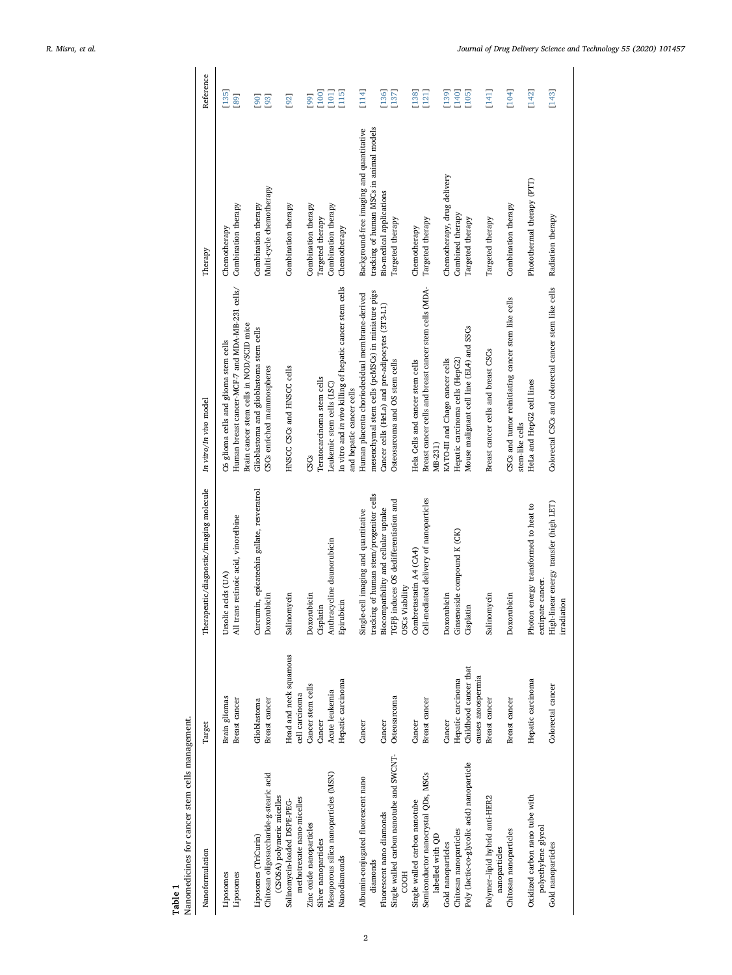<span id="page-1-0"></span>

| Nanomedicines for cancer stem cells management.<br>Table 1                                    |                                          |                                                                                 |                                                                                                                                      |                                                                                     |                                                  |
|-----------------------------------------------------------------------------------------------|------------------------------------------|---------------------------------------------------------------------------------|--------------------------------------------------------------------------------------------------------------------------------------|-------------------------------------------------------------------------------------|--------------------------------------------------|
| Nanoformulation                                                                               | Target                                   | Therapeutic/diagnostic/imaging molecule                                         | In vitro/In vivo model                                                                                                               | Therapy                                                                             | Reference                                        |
| Liposomes<br>Liposomes                                                                        | Brain gliomas<br>Breast cancer           | All trans retinoic acid, vinorelbine<br>Ursolic acids (UA)                      | Human breast cancer-MCF-7 and MDA-MB-231 cells/<br>Brain cancer stem cells in NOD/SCID mice<br>C6 glioma cells and glioma stem cells | Combination therapy<br>Chemotherapy                                                 | [135]<br>[89]                                    |
| Chitosan oligosaccharide-g-stearic acid<br>(CSOSA) polymeric micelles<br>Liposomes (TriCurin) | Breast cancer<br>Glioblastoma            | Curcumin, epicatechin gallate, resveratrol<br>Doxorubicin                       | Glioblastoma and glioblastoma stem cells<br>CSCs enriched mammospheres                                                               | Multi-cycle chemotherapy<br>Combination therapy                                     | [93]<br>[90]                                     |
| methotrexate nano-micelles<br>Salinomycin-loaded DSPE-PEG-                                    | Head and neck squamous<br>cell carcinoma | Salinomycin                                                                     | HNSCC CSCs and HNSCC cells                                                                                                           | Combination therapy                                                                 | [92]                                             |
| Zinc oxide nanoparticles                                                                      | Cancer stem cells                        | Doxorubicin                                                                     | CSCs                                                                                                                                 | Combination therapy                                                                 | [99]                                             |
| Silver nanoparticles                                                                          | Cancer                                   | Cisplatin                                                                       | Teratocarcinoma stem cells                                                                                                           | Targeted therapy                                                                    | [100]                                            |
| Mesoporous silica nanoparticles (MSN)<br>Nanodiamonds                                         | Hepatic carcinoma<br>Acute leukemia      | Anthracycline daunorubicin<br>Epirubicin                                        | In vitro and in vivo killing of hepatic cancer stem cells<br>Leukemic stem cells (LSC)<br>and hepatic cancer cells                   | Combination therapy<br>Chemotherapy                                                 | $\begin{array}{c} 115 \\ 1 \end{array}$<br>[101] |
| Albumin-conjugated fluorescent nano<br>diamonds                                               | Cancer                                   | tracking of human stem/progenitor cells<br>Single-cell imaging and quantitative | mesenchymal stem cells (pcMSCs) in miniature pigs<br>Human placenta choriodecidual membrane-derived                                  | Background-free imaging and quantitative<br>tracking of human MSCs in animal models | [114]                                            |
| Fluorescent nano diamonds                                                                     | Cancer                                   | Biocompatibility and cellular uptake                                            | Cancer cells (HeLa) and pre-adipocytes (3T3-L1)                                                                                      | <b>Bio-medical applications</b>                                                     | [136]                                            |
| Single walled carbon nanotube and SWCNT-<br><b>COOH</b>                                       | Osteosarcoma                             | TGFß induces OS dedifferentiation and<br>OSCs Viability                         | Osteosarcoma and OS stem cells                                                                                                       | Targeted therapy                                                                    | [137]                                            |
| Single walled carbon nanotube                                                                 | Cancer                                   | Combretastatin A4 (CA4)                                                         | Hela Cells and cancer stem cells                                                                                                     | Chemotherapy                                                                        | [138]                                            |
| Semiconductor nanocrystal QDs, MSCs<br>labelled with QD                                       | Breast cancer                            | Cell-mediated delivery of nanoparticles                                         | Breast cancer cells and breast cancer stem cells (MDA-<br>MB-231)                                                                    | Targeted therapy                                                                    | [121]                                            |
| Gold nanoparticles                                                                            | Cancer                                   | Doxorubicin                                                                     | KATO-III and Chago cancer cells                                                                                                      | Chemotherapy, drug delivery                                                         | [139]                                            |
| Chitosan nanoparticles                                                                        | Hepatic carcinoma                        | Ginsenoside compound K (CK)                                                     | Hepatic carcinoma cells (HepG2)                                                                                                      | Combined therapy                                                                    | [140]                                            |
| Poly (lactic-co-glycolic acid) nanoparticle                                                   | Childhood cancer that                    | Cisplatin                                                                       | Mouse malignant cell line (EL4) and SSCs                                                                                             | Targeted therapy                                                                    | [105]                                            |
| Polymer-lipid hybrid anti-HER2<br>nanoparticles                                               | causes azoospermia<br>Breast cancer      | Salinomycin                                                                     | Breast cancer cells and breast CSCs                                                                                                  | Targeted therapy                                                                    | [141]                                            |
| Chitosan nanoparticles                                                                        | Breast cancer                            | Doxorubicin                                                                     | CSCs and tumor reinitiating cancer stem like cells<br>stem-like cells                                                                | Combination therapy                                                                 | [104]                                            |
| Oxidized carbon nano tube with                                                                | Hepatic carcinoma                        | Photon energy transformed to heat to                                            | HeLa and HepG2 cell lines                                                                                                            | Photothermal therapy (PTT)                                                          | [142]                                            |
| polyethylene glycol<br>Gold nanoparticles                                                     | Colorectal cancer                        | High-linear energy transfer (high LET)<br>extirpate cancer.<br>irradiation      | Colorectal CSCs and colorectal cancer stem like cells                                                                                | Radiation therapy                                                                   | [143]                                            |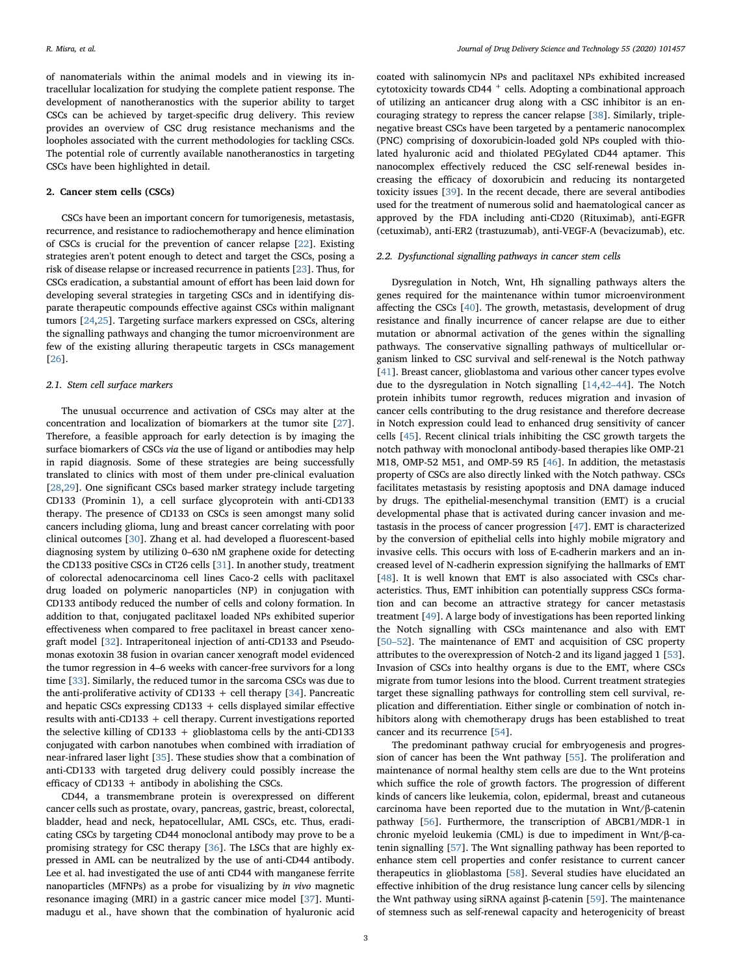of nanomaterials within the animal models and in viewing its intracellular localization for studying the complete patient response. The development of nanotheranostics with the superior ability to target CSCs can be achieved by target-specific drug delivery. This review provides an overview of CSC drug resistance mechanisms and the loopholes associated with the current methodologies for tackling CSCs. The potential role of currently available nanotheranostics in targeting CSCs have been highlighted in detail.

# 2. Cancer stem cells (CSCs)

CSCs have been an important concern for tumorigenesis, metastasis, recurrence, and resistance to radiochemotherapy and hence elimination of CSCs is crucial for the prevention of cancer relapse [[22\]](#page-9-1). Existing strategies aren't potent enough to detect and target the CSCs, posing a risk of disease relapse or increased recurrence in patients [\[23\]](#page-9-2). Thus, for CSCs eradication, a substantial amount of effort has been laid down for developing several strategies in targeting CSCs and in identifying disparate therapeutic compounds effective against CSCs within malignant tumors [\[24](#page-9-3)[,25](#page-9-4)]. Targeting surface markers expressed on CSCs, altering the signalling pathways and changing the tumor microenvironment are few of the existing alluring therapeutic targets in CSCs management [[26\]](#page-9-5).

### 2.1. Stem cell surface markers

The unusual occurrence and activation of CSCs may alter at the concentration and localization of biomarkers at the tumor site [\[27](#page-9-6)]. Therefore, a feasible approach for early detection is by imaging the surface biomarkers of CSCs via the use of ligand or antibodies may help in rapid diagnosis. Some of these strategies are being successfully translated to clinics with most of them under pre-clinical evaluation [[28](#page-9-7)[,29](#page-9-8)]. One significant CSCs based marker strategy include targeting CD133 (Prominin 1), a cell surface glycoprotein with anti-CD133 therapy. The presence of CD133 on CSCs is seen amongst many solid cancers including glioma, lung and breast cancer correlating with poor clinical outcomes [[30\]](#page-9-9). Zhang et al. had developed a fluorescent-based diagnosing system by utilizing 0–630 nM graphene oxide for detecting the CD133 positive CSCs in CT26 cells [\[31](#page-9-10)]. In another study, treatment of colorectal adenocarcinoma cell lines Caco-2 cells with paclitaxel drug loaded on polymeric nanoparticles (NP) in conjugation with CD133 antibody reduced the number of cells and colony formation. In addition to that, conjugated paclitaxel loaded NPs exhibited superior effectiveness when compared to free paclitaxel in breast cancer xenograft model [\[32](#page-9-11)]. Intraperitoneal injection of anti-CD133 and Pseudomonas exotoxin 38 fusion in ovarian cancer xenograft model evidenced the tumor regression in 4–6 weeks with cancer-free survivors for a long time [[33\]](#page-9-12). Similarly, the reduced tumor in the sarcoma CSCs was due to the anti-proliferative activity of CD133  $+$  cell therapy [\[34\]](#page-9-13). Pancreatic and hepatic CSCs expressing CD133 + cells displayed similar effective results with anti-CD133 + cell therapy. Current investigations reported the selective killing of CD133 + glioblastoma cells by the anti-CD133 conjugated with carbon nanotubes when combined with irradiation of near-infrared laser light [[35\]](#page-9-14). These studies show that a combination of anti-CD133 with targeted drug delivery could possibly increase the efficacy of CD133 + antibody in abolishing the CSCs.

CD44, a transmembrane protein is overexpressed on different cancer cells such as prostate, ovary, pancreas, gastric, breast, colorectal, bladder, head and neck, hepatocellular, AML CSCs, etc. Thus, eradicating CSCs by targeting CD44 monoclonal antibody may prove to be a promising strategy for CSC therapy [[36\]](#page-9-15). The LSCs that are highly expressed in AML can be neutralized by the use of anti-CD44 antibody. Lee et al. had investigated the use of anti CD44 with manganese ferrite nanoparticles (MFNPs) as a probe for visualizing by in vivo magnetic resonance imaging (MRI) in a gastric cancer mice model [[37](#page-9-16)]. Muntimadugu et al., have shown that the combination of hyaluronic acid

coated with salinomycin NPs and paclitaxel NPs exhibited increased cytotoxicity towards CD44 <sup>+</sup> cells. Adopting a combinational approach of utilizing an anticancer drug along with a CSC inhibitor is an encouraging strategy to repress the cancer relapse [\[38](#page-9-17)]. Similarly, triplenegative breast CSCs have been targeted by a pentameric nanocomplex (PNC) comprising of doxorubicin-loaded gold NPs coupled with thiolated hyaluronic acid and thiolated PEGylated CD44 aptamer. This nanocomplex effectively reduced the CSC self-renewal besides increasing the efficacy of doxorubicin and reducing its nontargeted toxicity issues [[39\]](#page-9-18). In the recent decade, there are several antibodies used for the treatment of numerous solid and haematological cancer as approved by the FDA including anti-CD20 (Rituximab), anti-EGFR (cetuximab), anti-ER2 (trastuzumab), anti-VEGF-A (bevacizumab), etc.

## 2.2. Dysfunctional signalling pathways in cancer stem cells

Dysregulation in Notch, Wnt, Hh signalling pathways alters the genes required for the maintenance within tumor microenvironment affecting the CSCs [[40\]](#page-9-19). The growth, metastasis, development of drug resistance and finally incurrence of cancer relapse are due to either mutation or abnormal activation of the genes within the signalling pathways. The conservative signalling pathways of multicellular organism linked to CSC survival and self-renewal is the Notch pathway [[41\]](#page-9-20). Breast cancer, glioblastoma and various other cancer types evolve due to the dysregulation in Notch signalling [\[14](#page-8-13)[,42](#page-9-21)–44]. The Notch protein inhibits tumor regrowth, reduces migration and invasion of cancer cells contributing to the drug resistance and therefore decrease in Notch expression could lead to enhanced drug sensitivity of cancer cells [\[45](#page-9-22)]. Recent clinical trials inhibiting the CSC growth targets the notch pathway with monoclonal antibody-based therapies like OMP-21 M18, OMP-52 M51, and OMP-59 R5 [[46\]](#page-9-23). In addition, the metastasis property of CSCs are also directly linked with the Notch pathway. CSCs facilitates metastasis by resisting apoptosis and DNA damage induced by drugs. The epithelial-mesenchymal transition (EMT) is a crucial developmental phase that is activated during cancer invasion and metastasis in the process of cancer progression [[47\]](#page-9-24). EMT is characterized by the conversion of epithelial cells into highly mobile migratory and invasive cells. This occurs with loss of E-cadherin markers and an increased level of N-cadherin expression signifying the hallmarks of EMT [[48\]](#page-9-25). It is well known that EMT is also associated with CSCs characteristics. Thus, EMT inhibition can potentially suppress CSCs formation and can become an attractive strategy for cancer metastasis treatment [\[49](#page-9-26)]. A large body of investigations has been reported linking the Notch signalling with CSCs maintenance and also with EMT [50–[52\]](#page-9-27). The maintenance of EMT and acquisition of CSC property attributes to the overexpression of Notch-2 and its ligand jagged 1 [\[53](#page-9-28)]. Invasion of CSCs into healthy organs is due to the EMT, where CSCs migrate from tumor lesions into the blood. Current treatment strategies target these signalling pathways for controlling stem cell survival, replication and differentiation. Either single or combination of notch inhibitors along with chemotherapy drugs has been established to treat cancer and its recurrence [[54\]](#page-9-29).

The predominant pathway crucial for embryogenesis and progression of cancer has been the Wnt pathway [\[55](#page-9-30)]. The proliferation and maintenance of normal healthy stem cells are due to the Wnt proteins which suffice the role of growth factors. The progression of different kinds of cancers like leukemia, colon, epidermal, breast and cutaneous carcinoma have been reported due to the mutation in Wnt/β-catenin pathway [[56\]](#page-9-31). Furthermore, the transcription of ABCB1/MDR-1 in chronic myeloid leukemia (CML) is due to impediment in Wnt/β-catenin signalling [[57\]](#page-9-32). The Wnt signalling pathway has been reported to enhance stem cell properties and confer resistance to current cancer therapeutics in glioblastoma [\[58\]](#page-9-33). Several studies have elucidated an effective inhibition of the drug resistance lung cancer cells by silencing the Wnt pathway using siRNA against β-catenin [\[59](#page-9-34)]. The maintenance of stemness such as self-renewal capacity and heterogenicity of breast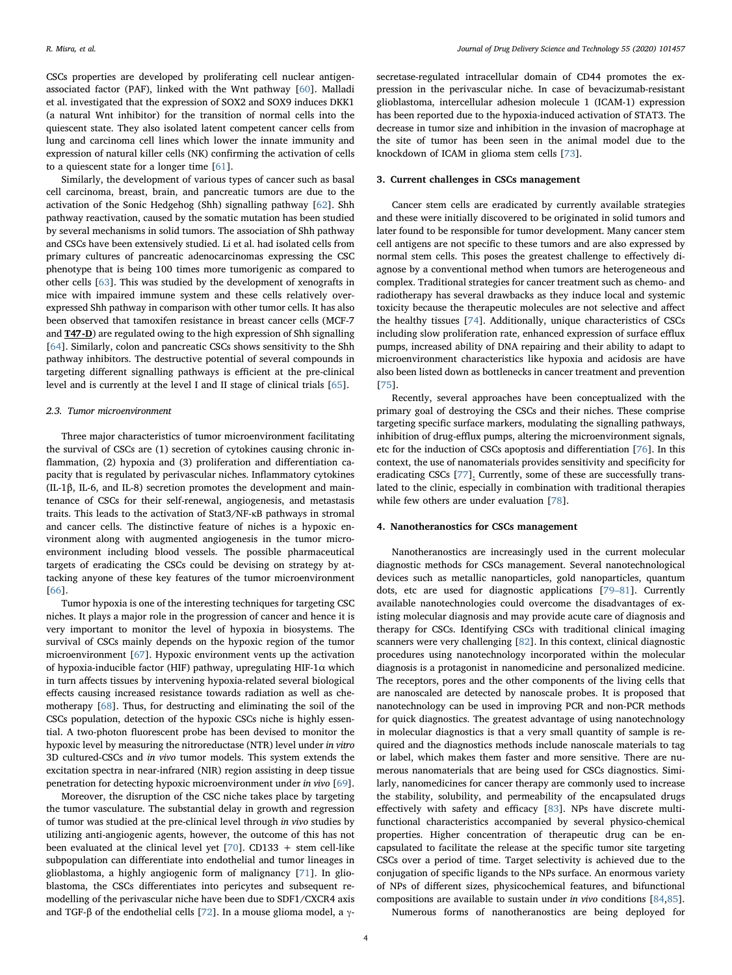CSCs properties are developed by proliferating cell nuclear antigenassociated factor (PAF), linked with the Wnt pathway [[60\]](#page-9-35). Malladi et al. investigated that the expression of SOX2 and SOX9 induces DKK1 (a natural Wnt inhibitor) for the transition of normal cells into the quiescent state. They also isolated latent competent cancer cells from lung and carcinoma cell lines which lower the innate immunity and expression of natural killer cells (NK) confirming the activation of cells to a quiescent state for a longer time [\[61](#page-9-36)].

Similarly, the development of various types of cancer such as basal cell carcinoma, breast, brain, and pancreatic tumors are due to the activation of the Sonic Hedgehog (Shh) signalling pathway [[62\]](#page-9-37). Shh pathway reactivation, caused by the somatic mutation has been studied by several mechanisms in solid tumors. The association of Shh pathway and CSCs have been extensively studied. Li et al. had isolated cells from primary cultures of pancreatic adenocarcinomas expressing the CSC phenotype that is being 100 times more tumorigenic as compared to other cells [\[63](#page-9-38)]. This was studied by the development of xenografts in mice with impaired immune system and these cells relatively overexpressed Shh pathway in comparison with other tumor cells. It has also been observed that tamoxifen resistance in breast cancer cells (MCF-7 and T47-D) are regulated owing to the high expression of Shh signalling [[64\]](#page-9-39). Similarly, colon and pancreatic CSCs shows sensitivity to the Shh pathway inhibitors. The destructive potential of several compounds in targeting different signalling pathways is efficient at the pre-clinical level and is currently at the level I and II stage of clinical trials [[65\]](#page-9-40).

#### 2.3. Tumor microenvironment

Three major characteristics of tumor microenvironment facilitating the survival of CSCs are (1) secretion of cytokines causing chronic inflammation, (2) hypoxia and (3) proliferation and differentiation capacity that is regulated by perivascular niches. Inflammatory cytokines (IL-1β, IL-6, and IL-8) secretion promotes the development and maintenance of CSCs for their self-renewal, angiogenesis, and metastasis traits. This leads to the activation of Stat3/NF-κB pathways in stromal and cancer cells. The distinctive feature of niches is a hypoxic environment along with augmented angiogenesis in the tumor microenvironment including blood vessels. The possible pharmaceutical targets of eradicating the CSCs could be devising on strategy by attacking anyone of these key features of the tumor microenvironment [[66\]](#page-9-41).

Tumor hypoxia is one of the interesting techniques for targeting CSC niches. It plays a major role in the progression of cancer and hence it is very important to monitor the level of hypoxia in biosystems. The survival of CSCs mainly depends on the hypoxic region of the tumor microenvironment [\[67](#page-9-42)]. Hypoxic environment vents up the activation of hypoxia-inducible factor (HIF) pathway, upregulating HIF-1 $\alpha$  which in turn affects tissues by intervening hypoxia-related several biological effects causing increased resistance towards radiation as well as chemotherapy [\[68](#page-9-43)]. Thus, for destructing and eliminating the soil of the CSCs population, detection of the hypoxic CSCs niche is highly essential. A two-photon fluorescent probe has been devised to monitor the hypoxic level by measuring the nitroreductase (NTR) level under in vitro 3D cultured-CSCs and in vivo tumor models. This system extends the excitation spectra in near-infrared (NIR) region assisting in deep tissue penetration for detecting hypoxic microenvironment under in vivo [\[69](#page-9-44)].

Moreover, the disruption of the CSC niche takes place by targeting the tumor vasculature. The substantial delay in growth and regression of tumor was studied at the pre-clinical level through in vivo studies by utilizing anti-angiogenic agents, however, the outcome of this has not been evaluated at the clinical level yet  $[70]$  $[70]$ . CD133 + stem cell-like subpopulation can differentiate into endothelial and tumor lineages in glioblastoma, a highly angiogenic form of malignancy [[71\]](#page-9-46). In glioblastoma, the CSCs differentiates into pericytes and subsequent remodelling of the perivascular niche have been due to SDF1/CXCR4 axis and TGF-β of the endothelial cells [\[72](#page-9-47)]. In a mouse glioma model, a γ-

secretase-regulated intracellular domain of CD44 promotes the expression in the perivascular niche. In case of bevacizumab-resistant glioblastoma, intercellular adhesion molecule 1 (ICAM-1) expression has been reported due to the hypoxia-induced activation of STAT3. The decrease in tumor size and inhibition in the invasion of macrophage at the site of tumor has been seen in the animal model due to the knockdown of ICAM in glioma stem cells [\[73](#page-9-48)].

#### 3. Current challenges in CSCs management

Cancer stem cells are eradicated by currently available strategies and these were initially discovered to be originated in solid tumors and later found to be responsible for tumor development. Many cancer stem cell antigens are not specific to these tumors and are also expressed by normal stem cells. This poses the greatest challenge to effectively diagnose by a conventional method when tumors are heterogeneous and complex. Traditional strategies for cancer treatment such as chemo- and radiotherapy has several drawbacks as they induce local and systemic toxicity because the therapeutic molecules are not selective and affect the healthy tissues [[74\]](#page-10-12). Additionally, unique characteristics of CSCs including slow proliferation rate, enhanced expression of surface efflux pumps, increased ability of DNA repairing and their ability to adapt to microenvironment characteristics like hypoxia and acidosis are have also been listed down as bottlenecks in cancer treatment and prevention [[75\]](#page-10-13).

Recently, several approaches have been conceptualized with the primary goal of destroying the CSCs and their niches. These comprise targeting specific surface markers, modulating the signalling pathways, inhibition of drug-efflux pumps, altering the microenvironment signals, etc for the induction of CSCs apoptosis and differentiation [\[76](#page-10-14)]. In this context, the use of nanomaterials provides sensitivity and specificity for eradicating CSCs [\[77](#page-10-15)]. Currently, some of these are successfully translated to the clinic, especially in combination with traditional therapies while few others are under evaluation [[78\]](#page-10-16).

# 4. Nanotheranostics for CSCs management

Nanotheranostics are increasingly used in the current molecular diagnostic methods for CSCs management. Several nanotechnological devices such as metallic nanoparticles, gold nanoparticles, quantum dots, etc are used for diagnostic applications [\[79](#page-10-17)–81]. Currently available nanotechnologies could overcome the disadvantages of existing molecular diagnosis and may provide acute care of diagnosis and therapy for CSCs. Identifying CSCs with traditional clinical imaging scanners were very challenging [\[82](#page-10-18)]. In this context, clinical diagnostic procedures using nanotechnology incorporated within the molecular diagnosis is a protagonist in nanomedicine and personalized medicine. The receptors, pores and the other components of the living cells that are nanoscaled are detected by nanoscale probes. It is proposed that nanotechnology can be used in improving PCR and non-PCR methods for quick diagnostics. The greatest advantage of using nanotechnology in molecular diagnostics is that a very small quantity of sample is required and the diagnostics methods include nanoscale materials to tag or label, which makes them faster and more sensitive. There are numerous nanomaterials that are being used for CSCs diagnostics. Similarly, nanomedicines for cancer therapy are commonly used to increase the stability, solubility, and permeability of the encapsulated drugs effectively with safety and efficacy [[83\]](#page-10-19). NPs have discrete multifunctional characteristics accompanied by several physico-chemical properties. Higher concentration of therapeutic drug can be encapsulated to facilitate the release at the specific tumor site targeting CSCs over a period of time. Target selectivity is achieved due to the conjugation of specific ligands to the NPs surface. An enormous variety of NPs of different sizes, physicochemical features, and bifunctional compositions are available to sustain under in vivo conditions [[84,](#page-10-20)[85](#page-10-21)].

Numerous forms of nanotheranostics are being deployed for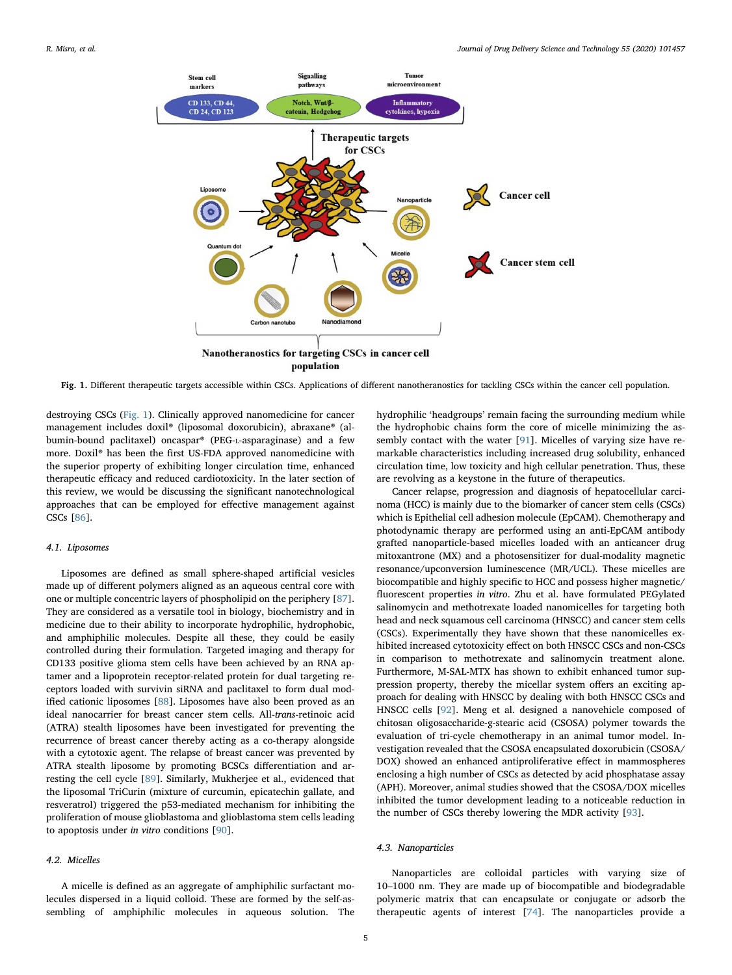<span id="page-4-0"></span>

Fig. 1. Different therapeutic targets accessible within CSCs. Applications of different nanotheranostics for tackling CSCs within the cancer cell population.

destroying CSCs [\(Fig. 1\)](#page-4-0). Clinically approved nanomedicine for cancer management includes doxil® (liposomal doxorubicin), abraxane® (albumin-bound paclitaxel) oncaspar® (PEG-L-asparaginase) and a few more. Doxil® has been the first US-FDA approved nanomedicine with the superior property of exhibiting longer circulation time, enhanced therapeutic efficacy and reduced cardiotoxicity. In the later section of this review, we would be discussing the significant nanotechnological approaches that can be employed for effective management against CSCs [[86\]](#page-10-22).

#### 4.1. Liposomes

Liposomes are defined as small sphere-shaped artificial vesicles made up of different polymers aligned as an aqueous central core with one or multiple concentric layers of phospholipid on the periphery [\[87](#page-10-23)]. They are considered as a versatile tool in biology, biochemistry and in medicine due to their ability to incorporate hydrophilic, hydrophobic, and amphiphilic molecules. Despite all these, they could be easily controlled during their formulation. Targeted imaging and therapy for CD133 positive glioma stem cells have been achieved by an RNA aptamer and a lipoprotein receptor-related protein for dual targeting receptors loaded with survivin siRNA and paclitaxel to form dual modified cationic liposomes [[88\]](#page-10-24). Liposomes have also been proved as an ideal nanocarrier for breast cancer stem cells. All-trans-retinoic acid (ATRA) stealth liposomes have been investigated for preventing the recurrence of breast cancer thereby acting as a co-therapy alongside with a cytotoxic agent. The relapse of breast cancer was prevented by ATRA stealth liposome by promoting BCSCs differentiation and arresting the cell cycle [[89\]](#page-10-0). Similarly, Mukherjee et al., evidenced that the liposomal TriCurin (mixture of curcumin, epicatechin gallate, and resveratrol) triggered the p53-mediated mechanism for inhibiting the proliferation of mouse glioblastoma and glioblastoma stem cells leading to apoptosis under in vitro conditions [[90\]](#page-10-1).

#### 4.2. Micelles

A micelle is defined as an aggregate of amphiphilic surfactant molecules dispersed in a liquid colloid. These are formed by the self-assembling of amphiphilic molecules in aqueous solution. The hydrophilic 'headgroups' remain facing the surrounding medium while the hydrophobic chains form the core of micelle minimizing the assembly contact with the water [[91\]](#page-10-25). Micelles of varying size have remarkable characteristics including increased drug solubility, enhanced circulation time, low toxicity and high cellular penetration. Thus, these are revolving as a keystone in the future of therapeutics.

Cancer relapse, progression and diagnosis of hepatocellular carcinoma (HCC) is mainly due to the biomarker of cancer stem cells (CSCs) which is Epithelial cell adhesion molecule (EpCAM). Chemotherapy and photodynamic therapy are performed using an anti-EpCAM antibody grafted nanoparticle-based micelles loaded with an anticancer drug mitoxantrone (MX) and a photosensitizer for dual-modality magnetic resonance/upconversion luminescence (MR/UCL). These micelles are biocompatible and highly specific to HCC and possess higher magnetic/ fluorescent properties in vitro. Zhu et al. have formulated PEGylated salinomycin and methotrexate loaded nanomicelles for targeting both head and neck squamous cell carcinoma (HNSCC) and cancer stem cells (CSCs). Experimentally they have shown that these nanomicelles exhibited increased cytotoxicity effect on both HNSCC CSCs and non-CSCs in comparison to methotrexate and salinomycin treatment alone. Furthermore, M-SAL-MTX has shown to exhibit enhanced tumor suppression property, thereby the micellar system offers an exciting approach for dealing with HNSCC by dealing with both HNSCC CSCs and HNSCC cells [[92\]](#page-10-3). Meng et al. designed a nanovehicle composed of chitosan oligosaccharide-g-stearic acid (CSOSA) polymer towards the evaluation of tri-cycle chemotherapy in an animal tumor model. Investigation revealed that the CSOSA encapsulated doxorubicin (CSOSA/ DOX) showed an enhanced antiproliferative effect in mammospheres enclosing a high number of CSCs as detected by acid phosphatase assay (APH). Moreover, animal studies showed that the CSOSA/DOX micelles inhibited the tumor development leading to a noticeable reduction in the number of CSCs thereby lowering the MDR activity [[93\]](#page-10-2).

#### 4.3. Nanoparticles

Nanoparticles are colloidal particles with varying size of 10–1000 nm. They are made up of biocompatible and biodegradable polymeric matrix that can encapsulate or conjugate or adsorb the therapeutic agents of interest [[74\]](#page-10-12). The nanoparticles provide a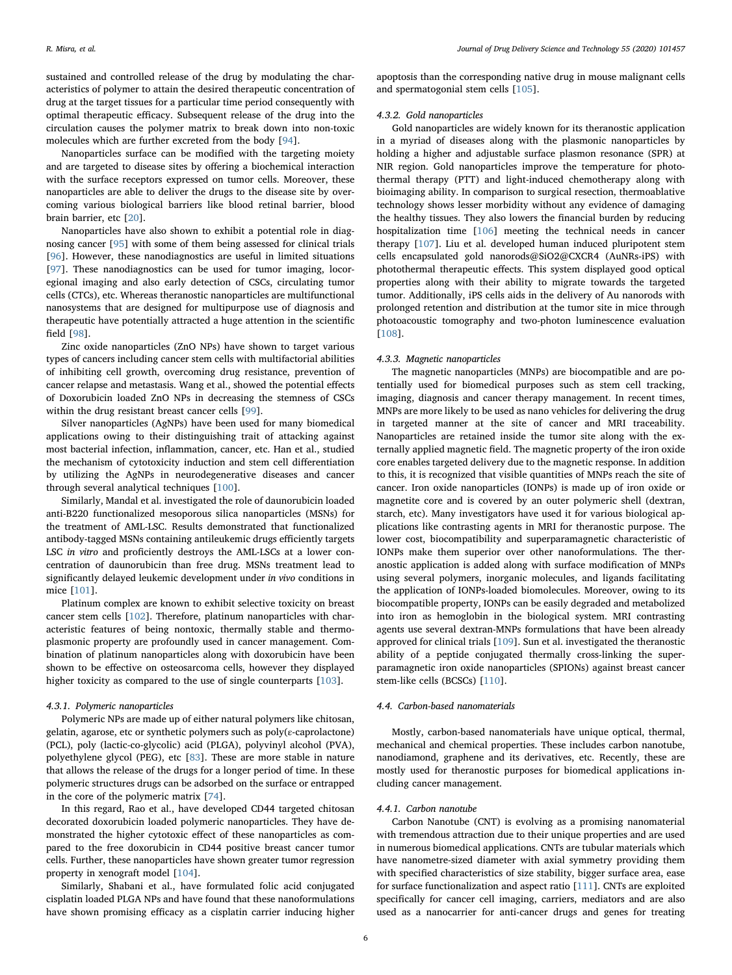sustained and controlled release of the drug by modulating the characteristics of polymer to attain the desired therapeutic concentration of drug at the target tissues for a particular time period consequently with optimal therapeutic efficacy. Subsequent release of the drug into the circulation causes the polymer matrix to break down into non-toxic molecules which are further excreted from the body [[94\]](#page-10-26).

Nanoparticles surface can be modified with the targeting moiety and are targeted to disease sites by offering a biochemical interaction with the surface receptors expressed on tumor cells. Moreover, these nanoparticles are able to deliver the drugs to the disease site by overcoming various biological barriers like blood retinal barrier, blood brain barrier, etc [\[20](#page-8-19)].

Nanoparticles have also shown to exhibit a potential role in diagnosing cancer [\[95](#page-10-27)] with some of them being assessed for clinical trials [[96\]](#page-10-28). However, these nanodiagnostics are useful in limited situations [[97\]](#page-10-29). These nanodiagnostics can be used for tumor imaging, locoregional imaging and also early detection of CSCs, circulating tumor cells (CTCs), etc. Whereas theranostic nanoparticles are multifunctional nanosystems that are designed for multipurpose use of diagnosis and therapeutic have potentially attracted a huge attention in the scientific field [\[98](#page-10-30)].

Zinc oxide nanoparticles (ZnO NPs) have shown to target various types of cancers including cancer stem cells with multifactorial abilities of inhibiting cell growth, overcoming drug resistance, prevention of cancer relapse and metastasis. Wang et al., showed the potential effects of Doxorubicin loaded ZnO NPs in decreasing the stemness of CSCs within the drug resistant breast cancer cells [[99\]](#page-10-4).

Silver nanoparticles (AgNPs) have been used for many biomedical applications owing to their distinguishing trait of attacking against most bacterial infection, inflammation, cancer, etc. Han et al., studied the mechanism of cytotoxicity induction and stem cell differentiation by utilizing the AgNPs in neurodegenerative diseases and cancer through several analytical techniques [[100](#page-10-5)].

Similarly, Mandal et al. investigated the role of daunorubicin loaded anti-B220 functionalized mesoporous silica nanoparticles (MSNs) for the treatment of AML-LSC. Results demonstrated that functionalized antibody-tagged MSNs containing antileukemic drugs efficiently targets LSC in vitro and proficiently destroys the AML-LSCs at a lower concentration of daunorubicin than free drug. MSNs treatment lead to significantly delayed leukemic development under in vivo conditions in mice [\[101\]](#page-10-6).

Platinum complex are known to exhibit selective toxicity on breast cancer stem cells [\[102\]](#page-10-31). Therefore, platinum nanoparticles with characteristic features of being nontoxic, thermally stable and thermoplasmonic property are profoundly used in cancer management. Combination of platinum nanoparticles along with doxorubicin have been shown to be effective on osteosarcoma cells, however they displayed higher toxicity as compared to the use of single counterparts [[103](#page-10-32)].

#### 4.3.1. Polymeric nanoparticles

Polymeric NPs are made up of either natural polymers like chitosan, gelatin, agarose, etc or synthetic polymers such as poly(ε-caprolactone) (PCL), poly (lactic-co-glycolic) acid (PLGA), polyvinyl alcohol (PVA), polyethylene glycol (PEG), etc [\[83](#page-10-19)]. These are more stable in nature that allows the release of the drugs for a longer period of time. In these polymeric structures drugs can be adsorbed on the surface or entrapped in the core of the polymeric matrix [\[74](#page-10-12)].

In this regard, Rao et al., have developed CD44 targeted chitosan decorated doxorubicin loaded polymeric nanoparticles. They have demonstrated the higher cytotoxic effect of these nanoparticles as compared to the free doxorubicin in CD44 positive breast cancer tumor cells. Further, these nanoparticles have shown greater tumor regression property in xenograft model [\[104\]](#page-10-11).

Similarly, Shabani et al., have formulated folic acid conjugated cisplatin loaded PLGA NPs and have found that these nanoformulations have shown promising efficacy as a cisplatin carrier inducing higher

apoptosis than the corresponding native drug in mouse malignant cells and spermatogonial stem cells [\[105\]](#page-10-10).

## 4.3.2. Gold nanoparticles

Gold nanoparticles are widely known for its theranostic application in a myriad of diseases along with the plasmonic nanoparticles by holding a higher and adjustable surface plasmon resonance (SPR) at NIR region. Gold nanoparticles improve the temperature for photothermal therapy (PTT) and light-induced chemotherapy along with bioimaging ability. In comparison to surgical resection, thermoablative technology shows lesser morbidity without any evidence of damaging the healthy tissues. They also lowers the financial burden by reducing hospitalization time [\[106\]](#page-10-33) meeting the technical needs in cancer therapy [\[107\]](#page-10-34). Liu et al. developed human induced pluripotent stem cells encapsulated gold nanorods@SiO2@CXCR4 (AuNRs-iPS) with photothermal therapeutic effects. This system displayed good optical properties along with their ability to migrate towards the targeted tumor. Additionally, iPS cells aids in the delivery of Au nanorods with prolonged retention and distribution at the tumor site in mice through photoacoustic tomography and two-photon luminescence evaluation [[108](#page-10-35)].

#### 4.3.3. Magnetic nanoparticles

The magnetic nanoparticles (MNPs) are biocompatible and are potentially used for biomedical purposes such as stem cell tracking, imaging, diagnosis and cancer therapy management. In recent times, MNPs are more likely to be used as nano vehicles for delivering the drug in targeted manner at the site of cancer and MRI traceability. Nanoparticles are retained inside the tumor site along with the externally applied magnetic field. The magnetic property of the iron oxide core enables targeted delivery due to the magnetic response. In addition to this, it is recognized that visible quantities of MNPs reach the site of cancer. Iron oxide nanoparticles (IONPs) is made up of iron oxide or magnetite core and is covered by an outer polymeric shell (dextran, starch, etc). Many investigators have used it for various biological applications like contrasting agents in MRI for theranostic purpose. The lower cost, biocompatibility and superparamagnetic characteristic of IONPs make them superior over other nanoformulations. The theranostic application is added along with surface modification of MNPs using several polymers, inorganic molecules, and ligands facilitating the application of IONPs-loaded biomolecules. Moreover, owing to its biocompatible property, IONPs can be easily degraded and metabolized into iron as hemoglobin in the biological system. MRI contrasting agents use several dextran-MNPs formulations that have been already approved for clinical trials [[109](#page-10-36)]. Sun et al. investigated the theranostic ability of a peptide conjugated thermally cross-linking the superparamagnetic iron oxide nanoparticles (SPIONs) against breast cancer stem-like cells (BCSCs) [[110](#page-10-37)].

#### 4.4. Carbon-based nanomaterials

Mostly, carbon-based nanomaterials have unique optical, thermal, mechanical and chemical properties. These includes carbon nanotube, nanodiamond, graphene and its derivatives, etc. Recently, these are mostly used for theranostic purposes for biomedical applications including cancer management.

#### 4.4.1. Carbon nanotube

Carbon Nanotube (CNT) is evolving as a promising nanomaterial with tremendous attraction due to their unique properties and are used in numerous biomedical applications. CNTs are tubular materials which have nanometre-sized diameter with axial symmetry providing them with specified characteristics of size stability, bigger surface area, ease for surface functionalization and aspect ratio [[111](#page-10-38)]. CNTs are exploited specifically for cancer cell imaging, carriers, mediators and are also used as a nanocarrier for anti-cancer drugs and genes for treating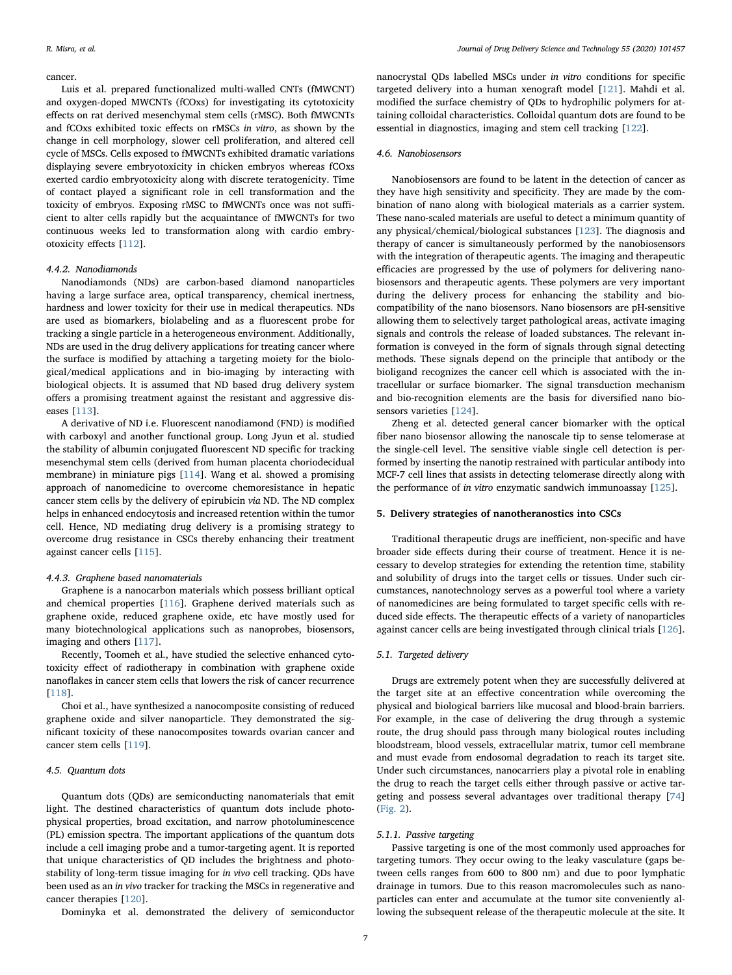#### cancer.

Luis et al. prepared functionalized multi-walled CNTs (fMWCNT) and oxygen-doped MWCNTs (fCOxs) for investigating its cytotoxicity effects on rat derived mesenchymal stem cells (rMSC). Both fMWCNTs and fCOxs exhibited toxic effects on rMSCs in vitro, as shown by the change in cell morphology, slower cell proliferation, and altered cell cycle of MSCs. Cells exposed to fMWCNTs exhibited dramatic variations displaying severe embryotoxicity in chicken embryos whereas fCOxs exerted cardio embryotoxicity along with discrete teratogenicity. Time of contact played a significant role in cell transformation and the toxicity of embryos. Exposing rMSC to fMWCNTs once was not sufficient to alter cells rapidly but the acquaintance of fMWCNTs for two continuous weeks led to transformation along with cardio embryotoxicity effects [[112](#page-10-39)].

# 4.4.2. Nanodiamonds

Nanodiamonds (NDs) are carbon-based diamond nanoparticles having a large surface area, optical transparency, chemical inertness, hardness and lower toxicity for their use in medical therapeutics. NDs are used as biomarkers, biolabeling and as a fluorescent probe for tracking a single particle in a heterogeneous environment. Additionally, NDs are used in the drug delivery applications for treating cancer where the surface is modified by attaching a targeting moiety for the biological/medical applications and in bio-imaging by interacting with biological objects. It is assumed that ND based drug delivery system offers a promising treatment against the resistant and aggressive diseases [[113](#page-10-40)].

A derivative of ND i.e. Fluorescent nanodiamond (FND) is modified with carboxyl and another functional group. Long Jyun et al. studied the stability of albumin conjugated fluorescent ND specific for tracking mesenchymal stem cells (derived from human placenta choriodecidual membrane) in miniature pigs [\[114\]](#page-10-8). Wang et al. showed a promising approach of nanomedicine to overcome chemoresistance in hepatic cancer stem cells by the delivery of epirubicin via ND. The ND complex helps in enhanced endocytosis and increased retention within the tumor cell. Hence, ND mediating drug delivery is a promising strategy to overcome drug resistance in CSCs thereby enhancing their treatment against cancer cells [[115](#page-10-7)].

#### 4.4.3. Graphene based nanomaterials

Graphene is a nanocarbon materials which possess brilliant optical and chemical properties [\[116\]](#page-10-41). Graphene derived materials such as graphene oxide, reduced graphene oxide, etc have mostly used for many biotechnological applications such as nanoprobes, biosensors, imaging and others [\[117\]](#page-10-42).

Recently, Toomeh et al., have studied the selective enhanced cytotoxicity effect of radiotherapy in combination with graphene oxide nanoflakes in cancer stem cells that lowers the risk of cancer recurrence [[118](#page-10-43)].

Choi et al., have synthesized a nanocomposite consisting of reduced graphene oxide and silver nanoparticle. They demonstrated the significant toxicity of these nanocomposites towards ovarian cancer and cancer stem cells [\[119\]](#page-10-44).

## 4.5. Quantum dots

Quantum dots (QDs) are semiconducting nanomaterials that emit light. The destined characteristics of quantum dots include photophysical properties, broad excitation, and narrow photoluminescence (PL) emission spectra. The important applications of the quantum dots include a cell imaging probe and a tumor-targeting agent. It is reported that unique characteristics of QD includes the brightness and photostability of long-term tissue imaging for in vivo cell tracking. QDs have been used as an in vivo tracker for tracking the MSCs in regenerative and cancer therapies [[120](#page-10-45)].

Dominyka et al. demonstrated the delivery of semiconductor

nanocrystal QDs labelled MSCs under in vitro conditions for specific targeted delivery into a human xenograft model [\[121\]](#page-10-9). Mahdi et al. modified the surface chemistry of QDs to hydrophilic polymers for attaining colloidal characteristics. Colloidal quantum dots are found to be essential in diagnostics, imaging and stem cell tracking [\[122\]](#page-10-46).

# 4.6. Nanobiosensors

Nanobiosensors are found to be latent in the detection of cancer as they have high sensitivity and specificity. They are made by the combination of nano along with biological materials as a carrier system. These nano-scaled materials are useful to detect a minimum quantity of any physical/chemical/biological substances [\[123\]](#page-10-47). The diagnosis and therapy of cancer is simultaneously performed by the nanobiosensors with the integration of therapeutic agents. The imaging and therapeutic efficacies are progressed by the use of polymers for delivering nanobiosensors and therapeutic agents. These polymers are very important during the delivery process for enhancing the stability and biocompatibility of the nano biosensors. Nano biosensors are pH-sensitive allowing them to selectively target pathological areas, activate imaging signals and controls the release of loaded substances. The relevant information is conveyed in the form of signals through signal detecting methods. These signals depend on the principle that antibody or the bioligand recognizes the cancer cell which is associated with the intracellular or surface biomarker. The signal transduction mechanism and bio-recognition elements are the basis for diversified nano biosensors varieties [[124](#page-10-48)].

Zheng et al. detected general cancer biomarker with the optical fiber nano biosensor allowing the nanoscale tip to sense telomerase at the single-cell level. The sensitive viable single cell detection is performed by inserting the nanotip restrained with particular antibody into MCF-7 cell lines that assists in detecting telomerase directly along with the performance of in vitro enzymatic sandwich immunoassay [[125](#page-10-49)].

#### 5. Delivery strategies of nanotheranostics into CSCs

Traditional therapeutic drugs are inefficient, non-specific and have broader side effects during their course of treatment. Hence it is necessary to develop strategies for extending the retention time, stability and solubility of drugs into the target cells or tissues. Under such circumstances, nanotechnology serves as a powerful tool where a variety of nanomedicines are being formulated to target specific cells with reduced side effects. The therapeutic effects of a variety of nanoparticles against cancer cells are being investigated through clinical trials [[126](#page-10-50)].

# 5.1. Targeted delivery

Drugs are extremely potent when they are successfully delivered at the target site at an effective concentration while overcoming the physical and biological barriers like mucosal and blood-brain barriers. For example, in the case of delivering the drug through a systemic route, the drug should pass through many biological routes including bloodstream, blood vessels, extracellular matrix, tumor cell membrane and must evade from endosomal degradation to reach its target site. Under such circumstances, nanocarriers play a pivotal role in enabling the drug to reach the target cells either through passive or active targeting and possess several advantages over traditional therapy [\[74](#page-10-12)] ([Fig. 2\)](#page-7-0).

# 5.1.1. Passive targeting

Passive targeting is one of the most commonly used approaches for targeting tumors. They occur owing to the leaky vasculature (gaps between cells ranges from 600 to 800 nm) and due to poor lymphatic drainage in tumors. Due to this reason macromolecules such as nanoparticles can enter and accumulate at the tumor site conveniently allowing the subsequent release of the therapeutic molecule at the site. It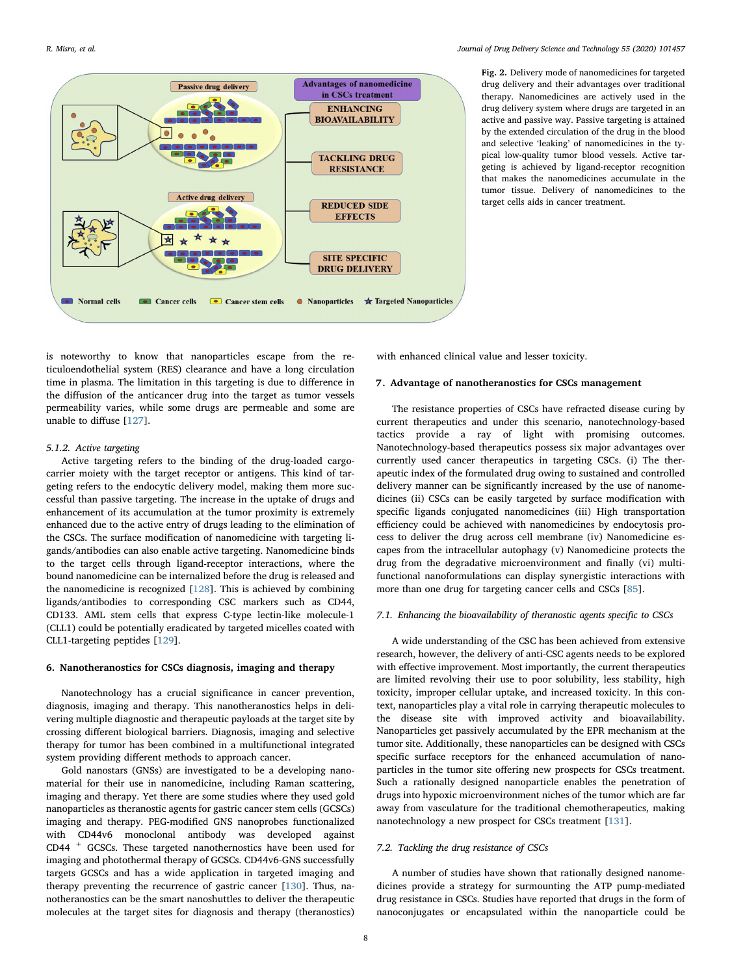<span id="page-7-0"></span>

Fig. 2. Delivery mode of nanomedicines for targeted drug delivery and their advantages over traditional therapy. Nanomedicines are actively used in the drug delivery system where drugs are targeted in an active and passive way. Passive targeting is attained by the extended circulation of the drug in the blood and selective 'leaking' of nanomedicines in the typical low-quality tumor blood vessels. Active targeting is achieved by ligand-receptor recognition that makes the nanomedicines accumulate in the tumor tissue. Delivery of nanomedicines to the target cells aids in cancer treatment.

is noteworthy to know that nanoparticles escape from the reticuloendothelial system (RES) clearance and have a long circulation time in plasma. The limitation in this targeting is due to difference in the diffusion of the anticancer drug into the target as tumor vessels permeability varies, while some drugs are permeable and some are unable to diffuse [[127\]](#page-10-51).

# 5.1.2. Active targeting

Active targeting refers to the binding of the drug-loaded cargocarrier moiety with the target receptor or antigens. This kind of targeting refers to the endocytic delivery model, making them more successful than passive targeting. The increase in the uptake of drugs and enhancement of its accumulation at the tumor proximity is extremely enhanced due to the active entry of drugs leading to the elimination of the CSCs. The surface modification of nanomedicine with targeting ligands/antibodies can also enable active targeting. Nanomedicine binds to the target cells through ligand-receptor interactions, where the bound nanomedicine can be internalized before the drug is released and the nanomedicine is recognized [\[128\]](#page-10-52). This is achieved by combining ligands/antibodies to corresponding CSC markers such as CD44, CD133. AML stem cells that express C-type lectin-like molecule-1 (CLL1) could be potentially eradicated by targeted micelles coated with CLL1-targeting peptides [\[129\]](#page-10-53).

#### 6. Nanotheranostics for CSCs diagnosis, imaging and therapy

Nanotechnology has a crucial significance in cancer prevention, diagnosis, imaging and therapy. This nanotheranostics helps in delivering multiple diagnostic and therapeutic payloads at the target site by crossing different biological barriers. Diagnosis, imaging and selective therapy for tumor has been combined in a multifunctional integrated system providing different methods to approach cancer.

Gold nanostars (GNSs) are investigated to be a developing nanomaterial for their use in nanomedicine, including Raman scattering, imaging and therapy. Yet there are some studies where they used gold nanoparticles as theranostic agents for gastric cancer stem cells (GCSCs) imaging and therapy. PEG-modified GNS nanoprobes functionalized with CD44v6 monoclonal antibody was developed against CD44 <sup>+</sup> GCSCs. These targeted nanothernostics have been used for imaging and photothermal therapy of GCSCs. CD44v6-GNS successfully targets GCSCs and has a wide application in targeted imaging and therapy preventing the recurrence of gastric cancer [\[130\]](#page-10-54). Thus, nanotheranostics can be the smart nanoshuttles to deliver the therapeutic molecules at the target sites for diagnosis and therapy (theranostics) with enhanced clinical value and lesser toxicity.

# 7. Advantage of nanotheranostics for CSCs management

The resistance properties of CSCs have refracted disease curing by current therapeutics and under this scenario, nanotechnology-based tactics provide a ray of light with promising outcomes. Nanotechnology-based therapeutics possess six major advantages over currently used cancer therapeutics in targeting CSCs. (i) The therapeutic index of the formulated drug owing to sustained and controlled delivery manner can be significantly increased by the use of nanomedicines (ii) CSCs can be easily targeted by surface modification with specific ligands conjugated nanomedicines (iii) High transportation efficiency could be achieved with nanomedicines by endocytosis process to deliver the drug across cell membrane (iv) Nanomedicine escapes from the intracellular autophagy (v) Nanomedicine protects the drug from the degradative microenvironment and finally (vi) multifunctional nanoformulations can display synergistic interactions with more than one drug for targeting cancer cells and CSCs [\[85](#page-10-21)].

# 7.1. Enhancing the bioavailability of theranostic agents specific to CSCs

A wide understanding of the CSC has been achieved from extensive research, however, the delivery of anti-CSC agents needs to be explored with effective improvement. Most importantly, the current therapeutics are limited revolving their use to poor solubility, less stability, high toxicity, improper cellular uptake, and increased toxicity. In this context, nanoparticles play a vital role in carrying therapeutic molecules to the disease site with improved activity and bioavailability. Nanoparticles get passively accumulated by the EPR mechanism at the tumor site. Additionally, these nanoparticles can be designed with CSCs specific surface receptors for the enhanced accumulation of nanoparticles in the tumor site offering new prospects for CSCs treatment. Such a rationally designed nanoparticle enables the penetration of drugs into hypoxic microenvironment niches of the tumor which are far away from vasculature for the traditional chemotherapeutics, making nanotechnology a new prospect for CSCs treatment [\[131\]](#page-11-9).

#### 7.2. Tackling the drug resistance of CSCs

A number of studies have shown that rationally designed nanomedicines provide a strategy for surmounting the ATP pump-mediated drug resistance in CSCs. Studies have reported that drugs in the form of nanoconjugates or encapsulated within the nanoparticle could be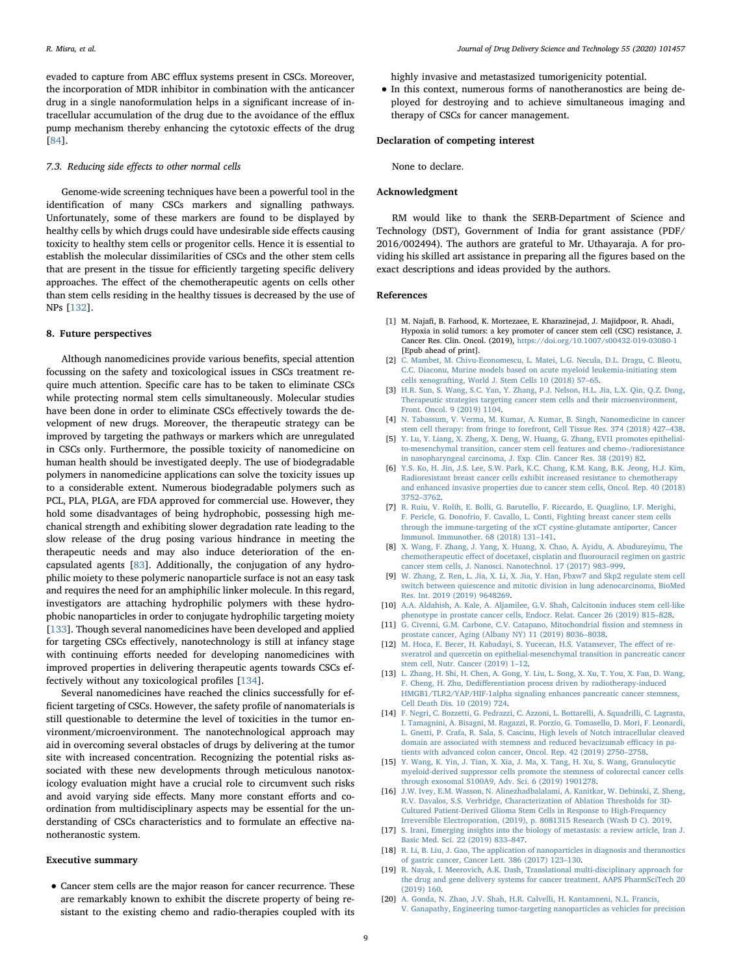evaded to capture from ABC efflux systems present in CSCs. Moreover, the incorporation of MDR inhibitor in combination with the anticancer drug in a single nanoformulation helps in a significant increase of intracellular accumulation of the drug due to the avoidance of the efflux pump mechanism thereby enhancing the cytotoxic effects of the drug [[84\]](#page-10-20).

# 7.3. Reducing side effects to other normal cells

Genome-wide screening techniques have been a powerful tool in the identification of many CSCs markers and signalling pathways. Unfortunately, some of these markers are found to be displayed by healthy cells by which drugs could have undesirable side effects causing toxicity to healthy stem cells or progenitor cells. Hence it is essential to establish the molecular dissimilarities of CSCs and the other stem cells that are present in the tissue for efficiently targeting specific delivery approaches. The effect of the chemotherapeutic agents on cells other than stem cells residing in the healthy tissues is decreased by the use of NPs [\[132\]](#page-11-10).

#### 8. Future perspectives

Although nanomedicines provide various benefits, special attention focussing on the safety and toxicological issues in CSCs treatment require much attention. Specific care has to be taken to eliminate CSCs while protecting normal stem cells simultaneously. Molecular studies have been done in order to eliminate CSCs effectively towards the development of new drugs. Moreover, the therapeutic strategy can be improved by targeting the pathways or markers which are unregulated in CSCs only. Furthermore, the possible toxicity of nanomedicine on human health should be investigated deeply. The use of biodegradable polymers in nanomedicine applications can solve the toxicity issues up to a considerable extent. Numerous biodegradable polymers such as PCL, PLA, PLGA, are FDA approved for commercial use. However, they hold some disadvantages of being hydrophobic, possessing high mechanical strength and exhibiting slower degradation rate leading to the slow release of the drug posing various hindrance in meeting the therapeutic needs and may also induce deterioration of the encapsulated agents [[83\]](#page-10-19). Additionally, the conjugation of any hydrophilic moiety to these polymeric nanoparticle surface is not an easy task and requires the need for an amphiphilic linker molecule. In this regard, investigators are attaching hydrophilic polymers with these hydrophobic nanoparticles in order to conjugate hydrophilic targeting moiety [[133](#page-11-11)]. Though several nanomedicines have been developed and applied for targeting CSCs effectively, nanotechnology is still at infancy stage with continuing efforts needed for developing nanomedicines with improved properties in delivering therapeutic agents towards CSCs effectively without any toxicological profiles [\[134](#page-11-12)].

Several nanomedicines have reached the clinics successfully for efficient targeting of CSCs. However, the safety profile of nanomaterials is still questionable to determine the level of toxicities in the tumor environment/microenvironment. The nanotechnological approach may aid in overcoming several obstacles of drugs by delivering at the tumor site with increased concentration. Recognizing the potential risks associated with these new developments through meticulous nanotoxicology evaluation might have a crucial role to circumvent such risks and avoid varying side effects. Many more constant efforts and coordination from multidisciplinary aspects may be essential for the understanding of CSCs characteristics and to formulate an effective nanotheranostic system.

#### Executive summary

• Cancer stem cells are the major reason for cancer recurrence. These are remarkably known to exhibit the discrete property of being resistant to the existing chemo and radio-therapies coupled with its highly invasive and metastasized tumorigenicity potential.

• In this context, numerous forms of nanotheranostics are being deployed for destroying and to achieve simultaneous imaging and therapy of CSCs for cancer management.

#### Declaration of competing interest

None to declare.

# Acknowledgment

RM would like to thank the SERB-Department of Science and Technology (DST), Government of India for grant assistance (PDF/ 2016/002494). The authors are grateful to Mr. Uthayaraja. A for providing his skilled art assistance in preparing all the figures based on the exact descriptions and ideas provided by the authors.

## References

- <span id="page-8-0"></span>[1] M. Najafi, B. Farhood, K. Mortezaee, E. Kharazinejad, J. Majidpoor, R. Ahadi, Hypoxia in solid tumors: a key promoter of cancer stem cell (CSC) resistance, J. Cancer Res. Clin. Oncol. (2019), <https://doi.org/10.1007/s00432-019-03080-1> [\[Epub ahead of print\].](https://doi.org/10.1007/s00432-019-03080-1)
- <span id="page-8-1"></span>[2] [C. Mambet, M. Chivu-Economescu, L. Matei, L.G. Necula, D.L. Dragu, C. Bleotu,](http://refhub.elsevier.com/S1773-2247(19)31279-1/sref2) [C.C. Diaconu, Murine models based on acute myeloid leukemia-initiating stem](http://refhub.elsevier.com/S1773-2247(19)31279-1/sref2) [cells xenografting, World J. Stem Cells 10 \(2018\) 57](http://refhub.elsevier.com/S1773-2247(19)31279-1/sref2)–65.
- <span id="page-8-2"></span>[3] [H.R. Sun, S. Wang, S.C. Yan, Y. Zhang, P.J. Nelson, H.L. Jia, L.X. Qin, Q.Z. Dong,](http://refhub.elsevier.com/S1773-2247(19)31279-1/sref3) [Therapeutic strategies targeting cancer stem cells and their microenvironment,](http://refhub.elsevier.com/S1773-2247(19)31279-1/sref3) [Front. Oncol. 9 \(2019\) 1104.](http://refhub.elsevier.com/S1773-2247(19)31279-1/sref3)
- <span id="page-8-3"></span>[4] [N. Tabassum, V. Verma, M. Kumar, A. Kumar, B. Singh, Nanomedicine in cancer](http://refhub.elsevier.com/S1773-2247(19)31279-1/sref4) [stem cell therapy: from fringe to forefront, Cell Tissue Res. 374 \(2018\) 427](http://refhub.elsevier.com/S1773-2247(19)31279-1/sref4)–438.
- <span id="page-8-4"></span>[5] [Y. Lu, Y. Liang, X. Zheng, X. Deng, W. Huang, G. Zhang, EVI1 promotes epithelial](http://refhub.elsevier.com/S1773-2247(19)31279-1/sref5)[to-mesenchymal transition, cancer stem cell features and chemo-/radioresistance](http://refhub.elsevier.com/S1773-2247(19)31279-1/sref5) [in nasopharyngeal carcinoma, J. Exp. Clin. Cancer Res. 38 \(2019\) 82.](http://refhub.elsevier.com/S1773-2247(19)31279-1/sref5)
- <span id="page-8-5"></span>[6] [Y.S. Ko, H. Jin, J.S. Lee, S.W. Park, K.C. Chang, K.M. Kang, B.K. Jeong, H.J. Kim,](http://refhub.elsevier.com/S1773-2247(19)31279-1/sref6) [Radioresistant breast cancer cells exhibit increased resistance to chemotherapy](http://refhub.elsevier.com/S1773-2247(19)31279-1/sref6) [and enhanced invasive properties due to cancer stem cells, Oncol. Rep. 40 \(2018\)](http://refhub.elsevier.com/S1773-2247(19)31279-1/sref6) 3752–[3762.](http://refhub.elsevier.com/S1773-2247(19)31279-1/sref6)
- <span id="page-8-6"></span>[7] [R. Ruiu, V. Rolih, E. Bolli, G. Barutello, F. Riccardo, E. Quaglino, I.F. Merighi,](http://refhub.elsevier.com/S1773-2247(19)31279-1/sref7) [F. Pericle, G. Donofrio, F. Cavallo, L. Conti, Fighting breast cancer stem cells](http://refhub.elsevier.com/S1773-2247(19)31279-1/sref7) [through the immune-targeting of the xCT cystine-glutamate antiporter, Cancer](http://refhub.elsevier.com/S1773-2247(19)31279-1/sref7) [Immunol. Immunother. 68 \(2018\) 131](http://refhub.elsevier.com/S1773-2247(19)31279-1/sref7)–141.
- <span id="page-8-7"></span>[8] [X. Wang, F. Zhang, J. Yang, X. Huang, X. Chao, A. Ayidu, A. Abudureyimu, The](http://refhub.elsevier.com/S1773-2247(19)31279-1/sref8) chemotherapeutic eff[ect of docetaxel, cisplatin and](http://refhub.elsevier.com/S1773-2247(19)31279-1/sref8) fluorouracil regimen on gastric [cancer stem cells, J. Nanosci. Nanotechnol. 17 \(2017\) 983](http://refhub.elsevier.com/S1773-2247(19)31279-1/sref8)–999.
- <span id="page-8-8"></span>[9] [W. Zhang, Z. Ren, L. Jia, X. Li, X. Jia, Y. Han, Fbxw7 and Skp2 regulate stem cell](http://refhub.elsevier.com/S1773-2247(19)31279-1/sref9) [switch between quiescence and mitotic division in lung adenocarcinoma, BioMed](http://refhub.elsevier.com/S1773-2247(19)31279-1/sref9) [Res. Int. 2019 \(2019\) 9648269.](http://refhub.elsevier.com/S1773-2247(19)31279-1/sref9)
- <span id="page-8-9"></span>[10] [A.A. Aldahish, A. Kale, A. Aljamilee, G.V. Shah, Calcitonin induces stem cell-like](http://refhub.elsevier.com/S1773-2247(19)31279-1/sref10) [phenotype in prostate cancer cells, Endocr. Relat. Cancer 26 \(2019\) 815](http://refhub.elsevier.com/S1773-2247(19)31279-1/sref10)–828.
- <span id="page-8-10"></span>[11] [G. Civenni, G.M. Carbone, C.V. Catapano, Mitochondrial](http://refhub.elsevier.com/S1773-2247(19)31279-1/sref11) fission and stemness in [prostate cancer, Aging \(Albany NY\) 11 \(2019\) 8036](http://refhub.elsevier.com/S1773-2247(19)31279-1/sref11)–8038.
- <span id="page-8-11"></span>[12] [M. Hoca, E. Becer, H. Kabadayi, S. Yucecan, H.S. Vatansever, The e](http://refhub.elsevier.com/S1773-2247(19)31279-1/sref12)ffect of re[sveratrol and quercetin on epithelial-mesenchymal transition in pancreatic cancer](http://refhub.elsevier.com/S1773-2247(19)31279-1/sref12) [stem cell, Nutr. Cancer \(2019\) 1](http://refhub.elsevier.com/S1773-2247(19)31279-1/sref12)–12.
- <span id="page-8-12"></span>[13] [L. Zhang, H. Shi, H. Chen, A. Gong, Y. Liu, L. Song, X. Xu, T. You, X. Fan, D. Wang,](http://refhub.elsevier.com/S1773-2247(19)31279-1/sref13) F. Cheng, H. Zhu, Dediff[erentiation process driven by radiotherapy-induced](http://refhub.elsevier.com/S1773-2247(19)31279-1/sref13) [HMGB1/TLR2/YAP/HIF-1alpha signaling enhances pancreatic cancer stemness,](http://refhub.elsevier.com/S1773-2247(19)31279-1/sref13) [Cell Death Dis. 10 \(2019\) 724.](http://refhub.elsevier.com/S1773-2247(19)31279-1/sref13)
- <span id="page-8-13"></span>[14] [F. Negri, C. Bozzetti, G. Pedrazzi, C. Azzoni, L. Bottarelli, A. Squadrilli, C. Lagrasta,](http://refhub.elsevier.com/S1773-2247(19)31279-1/sref14) [I. Tamagnini, A. Bisagni, M. Ragazzi, R. Porzio, G. Tomasello, D. Mori, F. Leonardi,](http://refhub.elsevier.com/S1773-2247(19)31279-1/sref14) [L. Gnetti, P. Crafa, R. Sala, S. Cascinu, High levels of Notch intracellular cleaved](http://refhub.elsevier.com/S1773-2247(19)31279-1/sref14) [domain are associated with stemness and reduced bevacizumab e](http://refhub.elsevier.com/S1773-2247(19)31279-1/sref14)fficacy in pa[tients with advanced colon cancer, Oncol. Rep. 42 \(2019\) 2750](http://refhub.elsevier.com/S1773-2247(19)31279-1/sref14)–2758.
- <span id="page-8-14"></span>[15] Y. [Wang, K. Yin, J. Tian, X. Xia, J. Ma, X. Tang, H. Xu, S. Wang, Granulocytic](http://refhub.elsevier.com/S1773-2247(19)31279-1/sref15) [myeloid-derived suppressor cells promote the stemness of colorectal cancer cells](http://refhub.elsevier.com/S1773-2247(19)31279-1/sref15) [through exosomal S100A9, Adv. Sci. 6 \(2019\) 1901278.](http://refhub.elsevier.com/S1773-2247(19)31279-1/sref15)
- <span id="page-8-15"></span>[16] [J.W. Ivey, E.M. Wasson, N. Alinezhadbalalami, A. Kanitkar, W. Debinski, Z. Sheng,](http://refhub.elsevier.com/S1773-2247(19)31279-1/sref16) [R.V. Davalos, S.S. Verbridge, Characterization of Ablation Thresholds for 3D-](http://refhub.elsevier.com/S1773-2247(19)31279-1/sref16)[Cultured Patient-Derived Glioma Stem Cells in Response to High-Frequency](http://refhub.elsevier.com/S1773-2247(19)31279-1/sref16) [Irreversible Electroporation, \(2019\), p. 8081315 Research \(Wash D C\). 2019.](http://refhub.elsevier.com/S1773-2247(19)31279-1/sref16)
- <span id="page-8-16"></span>[17] [S. Irani, Emerging insights into the biology of metastasis: a review article, Iran J.](http://refhub.elsevier.com/S1773-2247(19)31279-1/sref17) [Basic Med. Sci. 22 \(2019\) 833](http://refhub.elsevier.com/S1773-2247(19)31279-1/sref17)–847.
- <span id="page-8-17"></span>[18] [R. Li, B. Liu, J. Gao, The application of nanoparticles in diagnosis and theranostics](http://refhub.elsevier.com/S1773-2247(19)31279-1/sref18) [of gastric cancer, Cancer Lett. 386 \(2017\) 123](http://refhub.elsevier.com/S1773-2247(19)31279-1/sref18)–130.
- <span id="page-8-18"></span>[19] [R. Nayak, I. Meerovich, A.K. Dash, Translational multi-disciplinary approach for](http://refhub.elsevier.com/S1773-2247(19)31279-1/sref19) [the drug and gene delivery systems for cancer treatment, AAPS PharmSciTech 20](http://refhub.elsevier.com/S1773-2247(19)31279-1/sref19)  $(2019)$  160.
- <span id="page-8-19"></span>[20] [A. Gonda, N. Zhao, J.V. Shah, H.R. Calvelli, H. Kantamneni, N.L. Francis,](http://refhub.elsevier.com/S1773-2247(19)31279-1/sref20) [V. Ganapathy, Engineering tumor-targeting nanoparticles as vehicles for precision](http://refhub.elsevier.com/S1773-2247(19)31279-1/sref20)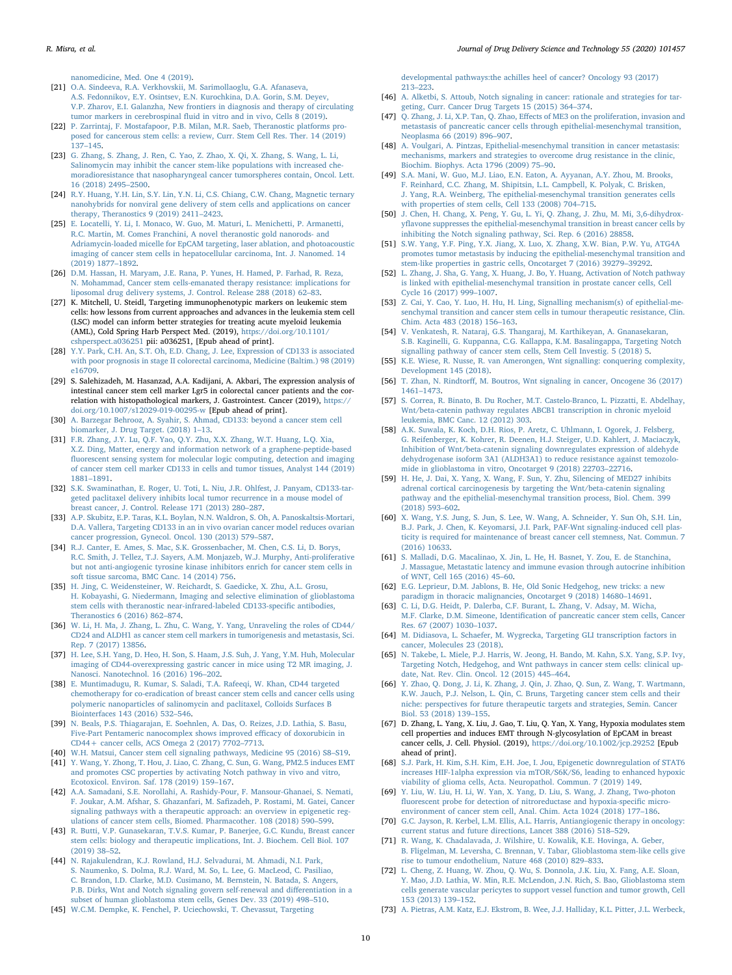[nanomedicine, Med. One 4 \(2019\).](http://refhub.elsevier.com/S1773-2247(19)31279-1/sref20)

- <span id="page-9-0"></span>[21] [O.A. Sindeeva, R.A. Verkhovskii, M. Sarimollaoglu, G.A. Afanaseva,](http://refhub.elsevier.com/S1773-2247(19)31279-1/sref21) [A.S. Fedonnikov, E.Y. Osintsev, E.N. Kurochkina, D.A. Gorin, S.M. Deyev,](http://refhub.elsevier.com/S1773-2247(19)31279-1/sref21) [V.P. Zharov, E.I. Galanzha, New frontiers in diagnosis and therapy of circulating](http://refhub.elsevier.com/S1773-2247(19)31279-1/sref21) tumor markers in cerebrospinal fl[uid in vitro and in vivo, Cells 8 \(2019\).](http://refhub.elsevier.com/S1773-2247(19)31279-1/sref21)
- <span id="page-9-1"></span>[22] [P. Zarrintaj, F. Mostafapoor, P.B. Milan, M.R. Saeb, Theranostic platforms pro](http://refhub.elsevier.com/S1773-2247(19)31279-1/sref22)[posed for cancerous stem cells: a review, Curr. Stem Cell Res. Ther. 14 \(2019\)](http://refhub.elsevier.com/S1773-2247(19)31279-1/sref22) 137–[145.](http://refhub.elsevier.com/S1773-2247(19)31279-1/sref22)
- <span id="page-9-2"></span>[23] [G. Zhang, S. Zhang, J. Ren, C. Yao, Z. Zhao, X. Qi, X. Zhang, S. Wang, L. Li,](http://refhub.elsevier.com/S1773-2247(19)31279-1/sref23) [Salinomycin may inhibit the cancer stem-like populations with increased che](http://refhub.elsevier.com/S1773-2247(19)31279-1/sref23)[moradioresistance that nasopharyngeal cancer tumorspheres contain, Oncol. Lett.](http://refhub.elsevier.com/S1773-2247(19)31279-1/sref23) [16 \(2018\) 2495](http://refhub.elsevier.com/S1773-2247(19)31279-1/sref23)–2500.
- <span id="page-9-3"></span>[24] [R.Y. Huang, Y.H. Lin, S.Y. Lin, Y.N. Li, C.S. Chiang, C.W. Chang, Magnetic ternary](http://refhub.elsevier.com/S1773-2247(19)31279-1/sref24) [nanohybrids for nonviral gene delivery of stem cells and applications on cancer](http://refhub.elsevier.com/S1773-2247(19)31279-1/sref24) [therapy, Theranostics 9 \(2019\) 2411](http://refhub.elsevier.com/S1773-2247(19)31279-1/sref24)–2423.
- <span id="page-9-4"></span>[25] [E. Locatelli, Y. Li, I. Monaco, W. Guo, M. Maturi, L. Menichetti, P. Armanetti,](http://refhub.elsevier.com/S1773-2247(19)31279-1/sref25) [R.C. Martin, M. Comes Franchini, A novel theranostic gold nanorods- and](http://refhub.elsevier.com/S1773-2247(19)31279-1/sref25) [Adriamycin-loaded micelle for EpCAM targeting, laser ablation, and photoacoustic](http://refhub.elsevier.com/S1773-2247(19)31279-1/sref25) [imaging of cancer stem cells in hepatocellular carcinoma, Int. J. Nanomed. 14](http://refhub.elsevier.com/S1773-2247(19)31279-1/sref25) [\(2019\) 1877](http://refhub.elsevier.com/S1773-2247(19)31279-1/sref25)–1892.
- <span id="page-9-5"></span>[26] [D.M. Hassan, H. Maryam, J.E. Rana, P. Yunes, H. Hamed, P. Farhad, R. Reza,](http://refhub.elsevier.com/S1773-2247(19)31279-1/sref26) [N. Mohammad, Cancer stem cells-emanated therapy resistance: implications for](http://refhub.elsevier.com/S1773-2247(19)31279-1/sref26) [liposomal drug delivery systems, J. Control. Release 288 \(2018\) 62](http://refhub.elsevier.com/S1773-2247(19)31279-1/sref26)–83.
- <span id="page-9-6"></span>[27] K. Mitchell, U. Steidl, Targeting immunophenotypic markers on leukemic stem cells: how lessons from current approaches and advances in the leukemia stem cell (LSC) model can inform better strategies for treating acute myeloid leukemia (AML), Cold Spring Harb Perspect Med. (2019), [https://doi.org/10.1101/](https://doi.org/10.1101/cshperspect.a036251) cshperspect.a036251 [pii: a036251, \[Epub ahead of print\].](https://doi.org/10.1101/cshperspect.a036251)
- <span id="page-9-7"></span>[28] [Y.Y. Park, C.H. An, S.T. Oh, E.D. Chang, J. Lee, Expression of CD133 is associated](http://refhub.elsevier.com/S1773-2247(19)31279-1/sref28) [with poor prognosis in stage II colorectal carcinoma, Medicine \(Baltim.\) 98 \(2019\)](http://refhub.elsevier.com/S1773-2247(19)31279-1/sref28) [e16709.](http://refhub.elsevier.com/S1773-2247(19)31279-1/sref28)
- <span id="page-9-8"></span>[29] S. Salehizadeh, M. Hasanzad, A.A. Kadijani, A. Akbari, The expression analysis of intestinal cancer stem cell marker Lgr5 in colorectal cancer patients and the correlation with histopathological markers, J. Gastrointest. Cancer (2019), [https://](https://doi.org/10.1007/s12029-019-00295-w) [doi.org/10.1007/s12029-019-00295-w](https://doi.org/10.1007/s12029-019-00295-w) [Epub ahead of print].
- <span id="page-9-9"></span>[30] [A. Barzegar Behrooz, A. Syahir, S. Ahmad, CD133: beyond a cancer stem cell](http://refhub.elsevier.com/S1773-2247(19)31279-1/sref30) [biomarker, J. Drug Target. \(2018\) 1](http://refhub.elsevier.com/S1773-2247(19)31279-1/sref30)–13.
- <span id="page-9-10"></span>[31] [F.R. Zhang, J.Y. Lu, Q.F. Yao, Q.Y. Zhu, X.X. Zhang, W.T. Huang, L.Q. Xia,](http://refhub.elsevier.com/S1773-2247(19)31279-1/sref31) [X.Z. Ding, Matter, energy and information network of a graphene-peptide-based](http://refhub.elsevier.com/S1773-2247(19)31279-1/sref31) fl[uorescent sensing system for molecular logic computing, detection and imaging](http://refhub.elsevier.com/S1773-2247(19)31279-1/sref31) [of cancer stem cell marker CD133 in cells and tumor tissues, Analyst 144 \(2019\)](http://refhub.elsevier.com/S1773-2247(19)31279-1/sref31) 1881–[1891.](http://refhub.elsevier.com/S1773-2247(19)31279-1/sref31)
- <span id="page-9-11"></span>[32] [S.K. Swaminathan, E. Roger, U. Toti, L. Niu, J.R. Ohlfest, J. Panyam, CD133-tar](http://refhub.elsevier.com/S1773-2247(19)31279-1/sref32)[geted paclitaxel delivery inhibits local tumor recurrence in a mouse model of](http://refhub.elsevier.com/S1773-2247(19)31279-1/sref32) [breast cancer, J. Control. Release 171 \(2013\) 280](http://refhub.elsevier.com/S1773-2247(19)31279-1/sref32)–287.
- <span id="page-9-12"></span>[33] [A.P. Skubitz, E.P. Taras, K.L. Boylan, N.N. Waldron, S. Oh, A. Panoskaltsis-Mortari,](http://refhub.elsevier.com/S1773-2247(19)31279-1/sref33) [D.A. Vallera, Targeting CD133 in an in vivo ovarian cancer model reduces ovarian](http://refhub.elsevier.com/S1773-2247(19)31279-1/sref33) [cancer progression, Gynecol. Oncol. 130 \(2013\) 579](http://refhub.elsevier.com/S1773-2247(19)31279-1/sref33)–587.
- <span id="page-9-13"></span>[34] [R.J. Canter, E. Ames, S. Mac, S.K. Grossenbacher, M. Chen, C.S. Li, D. Borys,](http://refhub.elsevier.com/S1773-2247(19)31279-1/sref34) [R.C. Smith, J. Tellez, T.J. Sayers, A.M. Monjazeb, W.J. Murphy, Anti-proliferative](http://refhub.elsevier.com/S1773-2247(19)31279-1/sref34) [but not anti-angiogenic tyrosine kinase inhibitors enrich for cancer stem cells in](http://refhub.elsevier.com/S1773-2247(19)31279-1/sref34) [soft tissue sarcoma, BMC Canc. 14 \(2014\) 756.](http://refhub.elsevier.com/S1773-2247(19)31279-1/sref34)
- <span id="page-9-14"></span>[35] [H. Jing, C. Weidensteiner, W. Reichardt, S. Gaedicke, X. Zhu, A.L. Grosu,](http://refhub.elsevier.com/S1773-2247(19)31279-1/sref35) [H. Kobayashi, G. Niedermann, Imaging and selective elimination of glioblastoma](http://refhub.elsevier.com/S1773-2247(19)31279-1/sref35) stem [cells with theranostic near-infrared-labeled CD133-speci](http://refhub.elsevier.com/S1773-2247(19)31279-1/sref35)fic antibodies, [Theranostics 6 \(2016\) 862](http://refhub.elsevier.com/S1773-2247(19)31279-1/sref35)–874.
- <span id="page-9-15"></span>[36] [W. Li, H. Ma, J. Zhang, L. Zhu, C. Wang, Y. Yang, Unraveling the roles of CD44/](http://refhub.elsevier.com/S1773-2247(19)31279-1/sref36) [CD24 and ALDH1 as cancer stem cell markers in tumorigenesis and metastasis, Sci.](http://refhub.elsevier.com/S1773-2247(19)31279-1/sref36) [Rep. 7 \(2017\) 13856.](http://refhub.elsevier.com/S1773-2247(19)31279-1/sref36)
- <span id="page-9-16"></span>[37] [H. Lee, S.H. Yang, D. Heo, H. Son, S. Haam, J.S. Suh, J. Yang, Y.M. Huh, Molecular](http://refhub.elsevier.com/S1773-2247(19)31279-1/sref37) [imaging of CD44-overexpressing gastric cancer in mice using T2 MR imaging, J.](http://refhub.elsevier.com/S1773-2247(19)31279-1/sref37) [Nanosci. Nanotechnol. 16 \(2016\) 196](http://refhub.elsevier.com/S1773-2247(19)31279-1/sref37)–202.
- <span id="page-9-17"></span>[38] [E. Muntimadugu, R. Kumar, S. Saladi, T.A. Rafeeqi, W. Khan, CD44 targeted](http://refhub.elsevier.com/S1773-2247(19)31279-1/sref38) [chemotherapy for co-eradication of breast cancer stem cells and cancer cells using](http://refhub.elsevier.com/S1773-2247(19)31279-1/sref38) [polymeric nanoparticles of salinomycin and paclitaxel, Colloids Surfaces B](http://refhub.elsevier.com/S1773-2247(19)31279-1/sref38) [Biointerfaces 143 \(2016\) 532](http://refhub.elsevier.com/S1773-2247(19)31279-1/sref38)–546.
- <span id="page-9-18"></span>[39] [N. Beals, P.S. Thiagarajan, E. Soehnlen, A. Das, O. Reizes, J.D. Lathia, S. Basu,](http://refhub.elsevier.com/S1773-2247(19)31279-1/sref39) [Five-Part Pentameric nanocomplex shows improved e](http://refhub.elsevier.com/S1773-2247(19)31279-1/sref39)fficacy of doxorubicin in [CD44+ cancer cells, ACS Omega 2 \(2017\) 7702](http://refhub.elsevier.com/S1773-2247(19)31279-1/sref39)–7713.
- <span id="page-9-19"></span>[40] [W.H. Matsui, Cancer stem cell signaling pathways, Medicine 95 \(2016\) S8](http://refhub.elsevier.com/S1773-2247(19)31279-1/sref40)–S19.
- <span id="page-9-20"></span>[41] [Y. Wang, Y. Zhong, T. Hou, J. Liao, C. Zhang, C. Sun, G. Wang, PM2.5 induces EMT](http://refhub.elsevier.com/S1773-2247(19)31279-1/sref41) [and promotes CSC properties by activating Notch pathway in vivo and vitro,](http://refhub.elsevier.com/S1773-2247(19)31279-1/sref41) [Ecotoxicol. Environ. Saf. 178 \(2019\) 159](http://refhub.elsevier.com/S1773-2247(19)31279-1/sref41)–167.
- <span id="page-9-21"></span>[42] [A.A. Samadani, S.E. Norollahi, A. Rashidy-Pour, F. Mansour-Ghanaei, S. Nemati,](http://refhub.elsevier.com/S1773-2247(19)31279-1/sref42) [F. Joukar, A.M. Afshar, S. Ghazanfari, M. Sa](http://refhub.elsevier.com/S1773-2247(19)31279-1/sref42)fizadeh, P. Rostami, M. Gatei, Cancer [signaling pathways with a therapeutic approach: an overview in epigenetic reg](http://refhub.elsevier.com/S1773-2247(19)31279-1/sref42)[ulations of cancer stem cells, Biomed. Pharmacother. 108 \(2018\) 590](http://refhub.elsevier.com/S1773-2247(19)31279-1/sref42)–599.
- [43] [R. Butti, V.P. Gunasekaran, T.V.S. Kumar, P. Banerjee, G.C. Kundu, Breast cancer](http://refhub.elsevier.com/S1773-2247(19)31279-1/sref43) [stem cells: biology and therapeutic implications, Int. J. Biochem. Cell Biol. 107](http://refhub.elsevier.com/S1773-2247(19)31279-1/sref43) [\(2019\) 38](http://refhub.elsevier.com/S1773-2247(19)31279-1/sref43)–52.
- [44] [N. Rajakulendran, K.J. Rowland, H.J. Selvadurai, M. Ahmadi, N.I. Park,](http://refhub.elsevier.com/S1773-2247(19)31279-1/sref44) [S. Naumenko, S. Dolma, R.J. Ward, M. So, L. Lee, G. MacLeod, C. Pasiliao,](http://refhub.elsevier.com/S1773-2247(19)31279-1/sref44) [C. Brandon, I.D. Clarke, M.D. Cusimano, M. Bernstein, N. Batada, S. Angers,](http://refhub.elsevier.com/S1773-2247(19)31279-1/sref44) [P.B. Dirks, Wnt and Notch signaling govern self-renewal and di](http://refhub.elsevier.com/S1773-2247(19)31279-1/sref44)fferentiation in a [subset of human glioblastoma stem cells, Genes Dev. 33 \(2019\) 498](http://refhub.elsevier.com/S1773-2247(19)31279-1/sref44)–510.
- <span id="page-9-22"></span>[45] [W.C.M. Dempke, K. Fenchel, P. Uciechowski, T. Chevassut, Targeting](http://refhub.elsevier.com/S1773-2247(19)31279-1/sref45)

[developmental pathways:the achilles heel of cancer? Oncology 93 \(2017\)](http://refhub.elsevier.com/S1773-2247(19)31279-1/sref45) 213–[223.](http://refhub.elsevier.com/S1773-2247(19)31279-1/sref45)

- <span id="page-9-23"></span>[46] [A. Alketbi, S. Attoub, Notch signaling in cancer: rationale and strategies for tar](http://refhub.elsevier.com/S1773-2247(19)31279-1/sref46)[geting, Curr. Cancer Drug Targets 15 \(2015\) 364](http://refhub.elsevier.com/S1773-2247(19)31279-1/sref46)–374.
- <span id="page-9-24"></span>[47] Q. Zhang, J. Li, X.P. Tan, Q. Zhao, Eff[ects of ME3 on the proliferation, invasion and](http://refhub.elsevier.com/S1773-2247(19)31279-1/sref47) [metastasis of pancreatic cancer cells through epithelial-mesenchymal transition,](http://refhub.elsevier.com/S1773-2247(19)31279-1/sref47) [Neoplasma 66 \(2019\) 896](http://refhub.elsevier.com/S1773-2247(19)31279-1/sref47)–907.
- <span id="page-9-25"></span>[48] [A. Voulgari, A. Pintzas, Epithelial-mesenchymal transition in cancer metastasis:](http://refhub.elsevier.com/S1773-2247(19)31279-1/sref48) [mechanisms, markers and strategies to overcome drug resistance in the clinic,](http://refhub.elsevier.com/S1773-2247(19)31279-1/sref48) [Biochim. Biophys. Acta 1796 \(2009\) 75](http://refhub.elsevier.com/S1773-2247(19)31279-1/sref48)–90.
- <span id="page-9-26"></span>[49] S.A. [Mani, W. Guo, M.J. Liao, E.N. Eaton, A. Ayyanan, A.Y. Zhou, M. Brooks,](http://refhub.elsevier.com/S1773-2247(19)31279-1/sref49) [F. Reinhard, C.C. Zhang, M. Shipitsin, L.L. Campbell, K. Polyak, C. Brisken,](http://refhub.elsevier.com/S1773-2247(19)31279-1/sref49) [J. Yang, R.A. Weinberg, The epithelial-mesenchymal transition generates cells](http://refhub.elsevier.com/S1773-2247(19)31279-1/sref49) [with properties of stem cells, Cell 133 \(2008\) 704](http://refhub.elsevier.com/S1773-2247(19)31279-1/sref49)–715.
- <span id="page-9-27"></span>[50] [J. Chen, H. Chang, X. Peng, Y. Gu, L. Yi, Q. Zhang, J. Zhu, M. Mi, 3,6-dihydrox](http://refhub.elsevier.com/S1773-2247(19)31279-1/sref50)yfl[avone suppresses the epithelial-mesenchymal transition in breast cancer cells by](http://refhub.elsevier.com/S1773-2247(19)31279-1/sref50) [inhibiting the Notch signaling pathway, Sci. Rep. 6 \(2016\) 28858.](http://refhub.elsevier.com/S1773-2247(19)31279-1/sref50)
- [51] [S.W. Yang, Y.F. Ping, Y.X. Jiang, X. Luo, X. Zhang, X.W. Bian, P.W. Yu, ATG4A](http://refhub.elsevier.com/S1773-2247(19)31279-1/sref51) [promotes tumor metastasis by inducing the epithelial-mesenchymal transition and](http://refhub.elsevier.com/S1773-2247(19)31279-1/sref51) [stem-like properties in gastric cells, Oncotarget 7 \(2016\) 39279](http://refhub.elsevier.com/S1773-2247(19)31279-1/sref51)–39292.
- [52] [L. Zhang, J. Sha, G. Yang, X. Huang, J. Bo, Y. Huang, Activation of Notch pathway](http://refhub.elsevier.com/S1773-2247(19)31279-1/sref52) [is linked with epithelial-mesenchymal transition in prostate cancer cells, Cell](http://refhub.elsevier.com/S1773-2247(19)31279-1/sref52) [Cycle 16 \(2017\) 999](http://refhub.elsevier.com/S1773-2247(19)31279-1/sref52)–1007.
- <span id="page-9-28"></span>[53] [Z. Cai, Y. Cao, Y. Luo, H. Hu, H. Ling, Signalling mechanism\(s\) of epithelial-me](http://refhub.elsevier.com/S1773-2247(19)31279-1/sref53)[senchymal transition and cancer stem cells in tumour therapeutic resistance, Clin.](http://refhub.elsevier.com/S1773-2247(19)31279-1/sref53) [Chim. Acta 483 \(2018\) 156](http://refhub.elsevier.com/S1773-2247(19)31279-1/sref53)–163.
- <span id="page-9-29"></span>[54] [V. Venkatesh, R. Nataraj, G.S. Thangaraj, M. Karthikeyan, A. Gnanasekaran,](http://refhub.elsevier.com/S1773-2247(19)31279-1/sref54) [S.B. Kaginelli, G. Kuppanna, C.G. Kallappa, K.M. Basalingappa, Targeting Notch](http://refhub.elsevier.com/S1773-2247(19)31279-1/sref54) [signalling pathway of cancer stem cells, Stem Cell Investig. 5 \(2018\) 5.](http://refhub.elsevier.com/S1773-2247(19)31279-1/sref54)
- <span id="page-9-30"></span>[55] [K.E. Wiese, R. Nusse, R. van Amerongen, Wnt signalling: conquering complexity,](http://refhub.elsevier.com/S1773-2247(19)31279-1/sref55) [Development 145 \(2018\).](http://refhub.elsevier.com/S1773-2247(19)31279-1/sref55)
- <span id="page-9-31"></span>[56] T. Zhan, N. Rindtorff[, M. Boutros, Wnt signaling in cancer, Oncogene 36 \(2017\)](http://refhub.elsevier.com/S1773-2247(19)31279-1/sref56) 1461–[1473.](http://refhub.elsevier.com/S1773-2247(19)31279-1/sref56)
- <span id="page-9-32"></span>[57] [S. Correa, R. Binato, B. Du Rocher, M.T. Castelo-Branco, L. Pizzatti, E. Abdelhay,](http://refhub.elsevier.com/S1773-2247(19)31279-1/sref57) [Wnt/beta-catenin pathway regulates ABCB1 transcription in chronic myeloid](http://refhub.elsevier.com/S1773-2247(19)31279-1/sref57) [leukemia, BMC Canc. 12 \(2012\) 303.](http://refhub.elsevier.com/S1773-2247(19)31279-1/sref57)
- <span id="page-9-33"></span>[58] [A.K. Suwala, K. Koch, D.H. Rios, P. Aretz, C. Uhlmann, I. Ogorek, J. Felsberg,](http://refhub.elsevier.com/S1773-2247(19)31279-1/sref58) [G. Reifenberger, K. Kohrer, R. Deenen, H.J. Steiger, U.D. Kahlert, J. Maciaczyk,](http://refhub.elsevier.com/S1773-2247(19)31279-1/sref58) [Inhibition of Wnt/beta-catenin signaling downregulates expression of aldehyde](http://refhub.elsevier.com/S1773-2247(19)31279-1/sref58) [dehydrogenase isoform 3A1 \(ALDH3A1\) to reduce resistance against temozolo](http://refhub.elsevier.com/S1773-2247(19)31279-1/sref58)[mide in glioblastoma in vitro, Oncotarget 9 \(2018\) 22703](http://refhub.elsevier.com/S1773-2247(19)31279-1/sref58)–22716.
- <span id="page-9-34"></span>[59] [H. He, J. Dai, X. Yang, X. Wang, F. Sun, Y. Zhu, Silencing of MED27 inhibits](http://refhub.elsevier.com/S1773-2247(19)31279-1/sref59) [adrenal cortical carcinogenesis by targeting the Wnt/beta-catenin signaling](http://refhub.elsevier.com/S1773-2247(19)31279-1/sref59) [pathway and the epithelial-mesenchymal transition process, Biol. Chem. 399](http://refhub.elsevier.com/S1773-2247(19)31279-1/sref59) [\(2018\) 593](http://refhub.elsevier.com/S1773-2247(19)31279-1/sref59)–602.
- <span id="page-9-35"></span>[60] [X. Wang, Y.S. Jung, S. Jun, S. Lee, W. Wang, A. Schneider, Y. Sun Oh, S.H. Lin,](http://refhub.elsevier.com/S1773-2247(19)31279-1/sref60) [B.J. Park, J. Chen, K. Keyomarsi, J.I. Park, PAF-Wnt signaling-induced cell plas](http://refhub.elsevier.com/S1773-2247(19)31279-1/sref60)[ticity is required for maintenance of breast cancer cell stemness, Nat. Commun. 7](http://refhub.elsevier.com/S1773-2247(19)31279-1/sref60) [\(2016\) 10633.](http://refhub.elsevier.com/S1773-2247(19)31279-1/sref60)
- <span id="page-9-36"></span>[61] [S. Malladi, D.G. Macalinao, X. Jin, L. He, H. Basnet, Y. Zou, E. de Stanchina,](http://refhub.elsevier.com/S1773-2247(19)31279-1/sref61) [J. Massague, Metastatic latency and immune evasion through autocrine inhibition](http://refhub.elsevier.com/S1773-2247(19)31279-1/sref61) [of WNT, Cell 165 \(2016\) 45](http://refhub.elsevier.com/S1773-2247(19)31279-1/sref61)–60.
- <span id="page-9-37"></span>[62] [E.G. Leprieur, D.M. Jablons, B. He, Old Sonic Hedgehog, new tricks: a new](http://refhub.elsevier.com/S1773-2247(19)31279-1/sref62) [paradigm in thoracic malignancies, Oncotarget 9 \(2018\) 14680](http://refhub.elsevier.com/S1773-2247(19)31279-1/sref62)–14691.
- <span id="page-9-38"></span>[63] [C. Li, D.G. Heidt, P. Dalerba, C.F. Burant, L. Zhang, V. Adsay, M. Wicha,](http://refhub.elsevier.com/S1773-2247(19)31279-1/sref63) M.F. Clarke, D.M. Simeone, Identifi[cation of pancreatic cancer stem cells, Cancer](http://refhub.elsevier.com/S1773-2247(19)31279-1/sref63) [Res. 67 \(2007\) 1030](http://refhub.elsevier.com/S1773-2247(19)31279-1/sref63)–1037.
- <span id="page-9-39"></span>[64] M. [Didiasova, L. Schaefer, M. Wygrecka, Targeting GLI transcription factors in](http://refhub.elsevier.com/S1773-2247(19)31279-1/sref64) [cancer, Molecules 23 \(2018\).](http://refhub.elsevier.com/S1773-2247(19)31279-1/sref64)
- <span id="page-9-40"></span>[65] [N. Takebe, L. Miele, P.J. Harris, W. Jeong, H. Bando, M. Kahn, S.X. Yang, S.P. Ivy,](http://refhub.elsevier.com/S1773-2247(19)31279-1/sref65) [Targeting Notch, Hedgehog, and Wnt pathways in cancer stem cells: clinical up](http://refhub.elsevier.com/S1773-2247(19)31279-1/sref65)[date, Nat. Rev. Clin. Oncol. 12 \(2015\) 445](http://refhub.elsevier.com/S1773-2247(19)31279-1/sref65)–464.
- <span id="page-9-41"></span>[66] [Y. Zhao, Q. Dong, J. Li, K. Zhang, J. Qin, J. Zhao, Q. Sun, Z. Wang, T. Wartmann,](http://refhub.elsevier.com/S1773-2247(19)31279-1/sref66) [K.W. Jauch, P.J. Nelson, L. Qin, C. Bruns, Targeting cancer stem cells and their](http://refhub.elsevier.com/S1773-2247(19)31279-1/sref66) [niche: perspectives for future therapeutic targets and strategies, Semin. Cancer](http://refhub.elsevier.com/S1773-2247(19)31279-1/sref66) [Biol. 53 \(2018\) 139](http://refhub.elsevier.com/S1773-2247(19)31279-1/sref66)–155.
- <span id="page-9-42"></span>[67] D. Zhang, L. Yang, X. Liu, J. Gao, T. Liu, Q. Yan, X. Yang, Hypoxia modulates stem cell properties and induces EMT through N-glycosylation of EpCAM in breast cancer cells, J. Cell. Physiol. (2019), <https://doi.org/10.1002/jcp.29252> [Epub [ahead of print\].](https://doi.org/10.1002/jcp.29252)
- <span id="page-9-43"></span>[68] [S.J. Park, H. Kim, S.H. Kim, E.H. Joe, I. Jou, Epigenetic downregulation of STAT6](http://refhub.elsevier.com/S1773-2247(19)31279-1/sref68) [increases HIF-1alpha expression via mTOR/S6K/S6, leading to enhanced hypoxic](http://refhub.elsevier.com/S1773-2247(19)31279-1/sref68) [viability of glioma cells, Acta. Neuropathol. Commun. 7 \(2019\) 149.](http://refhub.elsevier.com/S1773-2247(19)31279-1/sref68)
- <span id="page-9-44"></span>[69] [Y. Liu, W. Liu, H. Li, W. Yan, X. Yang, D. Liu, S. Wang, J. Zhang, Two-photon](http://refhub.elsevier.com/S1773-2247(19)31279-1/sref69) fl[uorescent probe for detection of nitroreductase and hypoxia-speci](http://refhub.elsevier.com/S1773-2247(19)31279-1/sref69)fic micro[environment of cancer stem cell, Anal. Chim. Acta 1024 \(2018\) 177](http://refhub.elsevier.com/S1773-2247(19)31279-1/sref69)–186.
- <span id="page-9-45"></span>[70] [G.C. Jayson, R. Kerbel, L.M. Ellis, A.L. Harris, Antiangiogenic therapy in oncology:](http://refhub.elsevier.com/S1773-2247(19)31279-1/sref70) [current status and future directions, Lancet 388 \(2016\) 518](http://refhub.elsevier.com/S1773-2247(19)31279-1/sref70)–529.
- <span id="page-9-46"></span>[71] [R. Wang, K. Chadalavada, J. Wilshire, U. Kowalik, K.E. Hovinga, A. Geber,](http://refhub.elsevier.com/S1773-2247(19)31279-1/sref71) [B. Fligelman, M. Leversha, C. Brennan, V. Tabar, Glioblastoma stem-like cells give](http://refhub.elsevier.com/S1773-2247(19)31279-1/sref71) [rise to tumour endothelium, Nature 468 \(2010\) 829](http://refhub.elsevier.com/S1773-2247(19)31279-1/sref71)–833.
- <span id="page-9-47"></span>[72] [L. Cheng, Z. Huang, W. Zhou, Q. Wu, S. Donnola, J.K. Liu, X. Fang, A.E. Sloan,](http://refhub.elsevier.com/S1773-2247(19)31279-1/sref72) [Y. Mao, J.D. Lathia, W. Min, R.E. McLendon, J.N. Rich, S. Bao, Glioblastoma stem](http://refhub.elsevier.com/S1773-2247(19)31279-1/sref72) [cells generate vascular pericytes to support vessel function and tumor growth, Cell](http://refhub.elsevier.com/S1773-2247(19)31279-1/sref72) [153 \(2013\) 139](http://refhub.elsevier.com/S1773-2247(19)31279-1/sref72)–152.
- <span id="page-9-48"></span>[73] [A. Pietras, A.M. Katz, E.J. Ekstrom, B. Wee, J.J. Halliday, K.L. Pitter, J.L. Werbeck,](http://refhub.elsevier.com/S1773-2247(19)31279-1/sref73)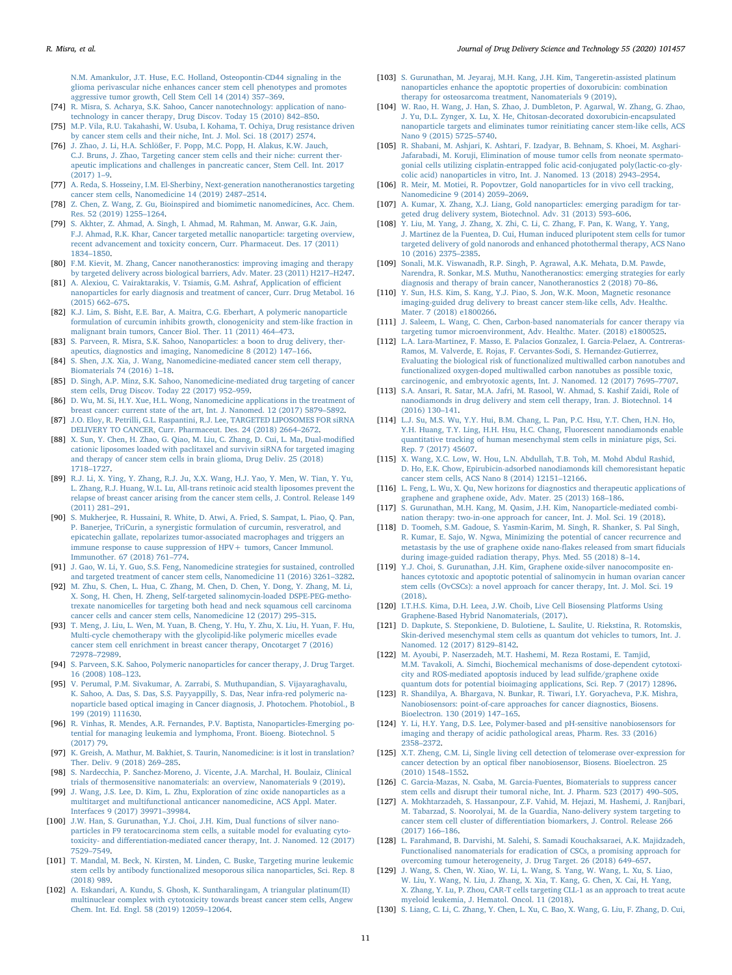[N.M. Amankulor, J.T. Huse, E.C. Holland, Osteopontin-CD44 signaling in the](http://refhub.elsevier.com/S1773-2247(19)31279-1/sref73) [glioma perivascular niche enhances cancer stem cell phenotypes and promotes](http://refhub.elsevier.com/S1773-2247(19)31279-1/sref73) [aggressive tumor growth, Cell Stem Cell 14 \(2014\) 357](http://refhub.elsevier.com/S1773-2247(19)31279-1/sref73)–369.

- <span id="page-10-12"></span>[74] [R. Misra, S. Acharya, S.K. Sahoo, Cancer nanotechnology: application of nano](http://refhub.elsevier.com/S1773-2247(19)31279-1/sref74)[technology in cancer therapy, Drug Discov. Today 15 \(2010\) 842](http://refhub.elsevier.com/S1773-2247(19)31279-1/sref74)–850.
- <span id="page-10-13"></span>[75] [M.P. Vila, R.U. Takahashi, W. Usuba, I. Kohama, T. Ochiya, Drug resistance driven](http://refhub.elsevier.com/S1773-2247(19)31279-1/sref75) [by cancer stem cells and their niche, Int. J. Mol. Sci. 18 \(2017\) 2574.](http://refhub.elsevier.com/S1773-2247(19)31279-1/sref75)
- <span id="page-10-14"></span>[76] [J. Zhao, J. Li, H.A. Schlößer, F. Popp, M.C. Popp, H. Alakus, K.W. Jauch,](http://refhub.elsevier.com/S1773-2247(19)31279-1/sref76) [C.J. Bruns, J. Zhao, Targeting cancer stem cells and their niche: current ther](http://refhub.elsevier.com/S1773-2247(19)31279-1/sref76)[apeutic implications and challenges in pancreatic cancer, Stem Cell. Int. 2017](http://refhub.elsevier.com/S1773-2247(19)31279-1/sref76) [\(2017\) 1](http://refhub.elsevier.com/S1773-2247(19)31279-1/sref76)–9.
- <span id="page-10-15"></span>[77] [A. Reda, S. Hosseiny, I.M. El-Sherbiny, Next-generation nanotheranostics targeting](http://refhub.elsevier.com/S1773-2247(19)31279-1/sref77) [cancer stem cells, Nanomedicine 14 \(2019\) 2487](http://refhub.elsevier.com/S1773-2247(19)31279-1/sref77)–2514.
- <span id="page-10-16"></span>[78] [Z. Chen, Z. Wang, Z. Gu, Bioinspired and biomimetic nanomedicines, Acc. Chem.](http://refhub.elsevier.com/S1773-2247(19)31279-1/sref78) [Res. 52 \(2019\) 1255](http://refhub.elsevier.com/S1773-2247(19)31279-1/sref78)–1264.
- <span id="page-10-17"></span>[79] [S. Akhter, Z. Ahmad, A. Singh, I. Ahmad, M. Rahman, M. Anwar, G.K. Jain,](http://refhub.elsevier.com/S1773-2247(19)31279-1/sref79) [F.J. Ahmad, R.K. Khar, Cancer targeted metallic nanoparticle: targeting overview,](http://refhub.elsevier.com/S1773-2247(19)31279-1/sref79) [recent advancement and toxicity concern, Curr. Pharmaceut. Des. 17 \(2011\)](http://refhub.elsevier.com/S1773-2247(19)31279-1/sref79) 1834–[1850.](http://refhub.elsevier.com/S1773-2247(19)31279-1/sref79)
- [80] [F.M. Kievit, M. Zhang, Cancer nanotheranostics: improving imaging and therapy](http://refhub.elsevier.com/S1773-2247(19)31279-1/sref80) [by targeted delivery across biological barriers, Adv. Mater. 23 \(2011\) H217](http://refhub.elsevier.com/S1773-2247(19)31279-1/sref80)–H247.
- [81] [A. Alexiou, C. Vairaktarakis, V. Tsiamis, G.M. Ashraf, Application of e](http://refhub.elsevier.com/S1773-2247(19)31279-1/sref81)fficient [nanoparticles for early diagnosis and treatment of cancer, Curr. Drug Metabol. 16](http://refhub.elsevier.com/S1773-2247(19)31279-1/sref81) [\(2015\) 662](http://refhub.elsevier.com/S1773-2247(19)31279-1/sref81)–675.
- <span id="page-10-18"></span>[82] [K.J. Lim, S. Bisht, E.E. Bar, A. Maitra, C.G. Eberhart, A polymeric nanoparticle](http://refhub.elsevier.com/S1773-2247(19)31279-1/sref82) [formulation of curcumin inhibits growth, clonogenicity and stem-like fraction in](http://refhub.elsevier.com/S1773-2247(19)31279-1/sref82) [malignant brain tumors, Cancer Biol. Ther. 11 \(2011\) 464](http://refhub.elsevier.com/S1773-2247(19)31279-1/sref82)–473.
- <span id="page-10-19"></span>[83] [S. Parveen, R. Misra, S.K. Sahoo, Nanoparticles: a boon to drug delivery, ther](http://refhub.elsevier.com/S1773-2247(19)31279-1/sref83)[apeutics, diagnostics and imaging, Nanomedicine 8 \(2012\) 147](http://refhub.elsevier.com/S1773-2247(19)31279-1/sref83)–166.
- <span id="page-10-20"></span>[84] [S. Shen, J.X. Xia, J. Wang, Nanomedicine-mediated cancer stem cell therapy,](http://refhub.elsevier.com/S1773-2247(19)31279-1/sref84) [Biomaterials 74 \(2016\) 1](http://refhub.elsevier.com/S1773-2247(19)31279-1/sref84)–18.
- <span id="page-10-21"></span>[85] [D. Singh, A.P. Minz, S.K. Sahoo, Nanomedicine-mediated drug targeting of cancer](http://refhub.elsevier.com/S1773-2247(19)31279-1/sref85) [stem cells, Drug Discov. Today 22 \(2017\) 952](http://refhub.elsevier.com/S1773-2247(19)31279-1/sref85)–959.
- <span id="page-10-22"></span>[86] [D. Wu, M. Si, H.Y. Xue, H.L. Wong, Nanomedicine applications in the treatment of](http://refhub.elsevier.com/S1773-2247(19)31279-1/sref86) [breast cancer: current state of the art, Int. J. Nanomed. 12 \(2017\) 5879](http://refhub.elsevier.com/S1773-2247(19)31279-1/sref86)–5892.
- <span id="page-10-23"></span>[87] [J.O. Eloy, R. Petrilli, G.L. Raspantini, R.J. Lee, TARGETED LIPOSOMES FOR siRNA](http://refhub.elsevier.com/S1773-2247(19)31279-1/sref87) [DELIVERY TO CANCER, Curr. Pharmaceut. Des. 24 \(2018\) 2664](http://refhub.elsevier.com/S1773-2247(19)31279-1/sref87)–2672.
- <span id="page-10-24"></span>[88] [X. Sun, Y. Chen, H. Zhao, G. Qiao, M. Liu, C. Zhang, D. Cui, L. Ma, Dual-modi](http://refhub.elsevier.com/S1773-2247(19)31279-1/sref88)fied [cationic liposomes loaded with paclitaxel and survivin siRNA for targeted imaging](http://refhub.elsevier.com/S1773-2247(19)31279-1/sref88) [and therapy of cancer stem cells in brain glioma, Drug Deliv. 25 \(2018\)](http://refhub.elsevier.com/S1773-2247(19)31279-1/sref88) 1718–[1727.](http://refhub.elsevier.com/S1773-2247(19)31279-1/sref88)
- <span id="page-10-0"></span>[89] R.J. [Li, X. Ying, Y. Zhang, R.J. Ju, X.X. Wang, H.J. Yao, Y. Men, W. Tian, Y. Yu,](http://refhub.elsevier.com/S1773-2247(19)31279-1/sref89) [L. Zhang, R.J. Huang, W.L. Lu, All-trans retinoic acid stealth liposomes prevent the](http://refhub.elsevier.com/S1773-2247(19)31279-1/sref89) [relapse of breast cancer arising from the cancer stem cells, J. Control. Release 149](http://refhub.elsevier.com/S1773-2247(19)31279-1/sref89) [\(2011\) 281](http://refhub.elsevier.com/S1773-2247(19)31279-1/sref89)–291.
- <span id="page-10-1"></span>[90] [S. Mukherjee, R. Hussaini, R. White, D. Atwi, A. Fried, S. Sampat, L. Piao, Q. Pan,](http://refhub.elsevier.com/S1773-2247(19)31279-1/sref90) [P. Banerjee, TriCurin, a synergistic formulation of curcumin, resveratrol, and](http://refhub.elsevier.com/S1773-2247(19)31279-1/sref90) [epicatechin gallate, repolarizes tumor-associated macrophages and triggers an](http://refhub.elsevier.com/S1773-2247(19)31279-1/sref90) immune response to cause suppression of HPV + tumors, Cancer Immunol. [Immunother. 67 \(2018\) 761](http://refhub.elsevier.com/S1773-2247(19)31279-1/sref90)–774.
- <span id="page-10-25"></span>[91] [J. Gao, W. Li, Y. Guo, S.S. Feng, Nanomedicine strategies for sustained, controlled](http://refhub.elsevier.com/S1773-2247(19)31279-1/sref91) [and targeted treatment of cancer stem cells, Nanomedicine 11 \(2016\) 3261](http://refhub.elsevier.com/S1773-2247(19)31279-1/sref91)–3282.
- <span id="page-10-3"></span>[92] [M. Zhu, S. Chen, L. Hua, C. Zhang, M. Chen, D. Chen, Y. Dong, Y. Zhang, M. Li,](http://refhub.elsevier.com/S1773-2247(19)31279-1/sref92) [X. Song, H. Chen, H. Zheng, Self-targeted salinomycin-loaded DSPE-PEG-metho](http://refhub.elsevier.com/S1773-2247(19)31279-1/sref92)[trexate nanomicelles for targeting both head and neck squamous cell carcinoma](http://refhub.elsevier.com/S1773-2247(19)31279-1/sref92) [cancer cells and cancer stem cells, Nanomedicine 12 \(2017\) 295](http://refhub.elsevier.com/S1773-2247(19)31279-1/sref92)–315.
- <span id="page-10-2"></span>[93] [T. Meng, J. Liu, L. Wen, M. Yuan, B. Cheng, Y. Hu, Y. Zhu, X. Liu, H. Yuan, F. Hu,](http://refhub.elsevier.com/S1773-2247(19)31279-1/sref93) [Multi-cycle chemotherapy with the glycolipid-like polymeric micelles evade](http://refhub.elsevier.com/S1773-2247(19)31279-1/sref93) [cancer stem cell enrichment in breast cancer therapy, Oncotarget 7 \(2016\)](http://refhub.elsevier.com/S1773-2247(19)31279-1/sref93) 72978–[72989.](http://refhub.elsevier.com/S1773-2247(19)31279-1/sref93)
- <span id="page-10-26"></span>[94] [S. Parveen, S.K. Sahoo, Polymeric nanoparticles for cancer therapy, J. Drug Target.](http://refhub.elsevier.com/S1773-2247(19)31279-1/sref94) [16 \(2008\) 108](http://refhub.elsevier.com/S1773-2247(19)31279-1/sref94)–123.
- <span id="page-10-27"></span>[95] [V. Perumal, P.M. Sivakumar, A. Zarrabi, S. Muthupandian, S. Vijayaraghavalu,](http://refhub.elsevier.com/S1773-2247(19)31279-1/sref95) [K. Sahoo, A. Das, S. Das, S.S. Payyappilly, S. Das, Near infra-red polymeric na](http://refhub.elsevier.com/S1773-2247(19)31279-1/sref95)[noparticle based optical imaging in Cancer diagnosis, J. Photochem. Photobiol., B](http://refhub.elsevier.com/S1773-2247(19)31279-1/sref95) [199 \(2019\) 111630.](http://refhub.elsevier.com/S1773-2247(19)31279-1/sref95)
- <span id="page-10-28"></span>[96] [R. Vinhas, R. Mendes, A.R. Fernandes, P.V. Baptista, Nanoparticles-Emerging po](http://refhub.elsevier.com/S1773-2247(19)31279-1/sref96)[tential for managing leukemia and lymphoma, Front. Bioeng. Biotechnol. 5](http://refhub.elsevier.com/S1773-2247(19)31279-1/sref96) [\(2017\) 79.](http://refhub.elsevier.com/S1773-2247(19)31279-1/sref96)
- <span id="page-10-29"></span>[97] [K. Greish, A. Mathur, M. Bakhiet, S. Taurin, Nanomedicine: is it lost in translation?](http://refhub.elsevier.com/S1773-2247(19)31279-1/sref97) [Ther. Deliv. 9 \(2018\) 269](http://refhub.elsevier.com/S1773-2247(19)31279-1/sref97)–285.
- <span id="page-10-30"></span>[98] [S. Nardecchia, P. Sanchez-Moreno, J. Vicente, J.A. Marchal, H. Boulaiz, Clinical](http://refhub.elsevier.com/S1773-2247(19)31279-1/sref98) [trials of thermosensitive nanomaterials: an overview, Nanomaterials 9 \(2019\).](http://refhub.elsevier.com/S1773-2247(19)31279-1/sref98)
- <span id="page-10-4"></span>[99] [J. Wang, J.S. Lee, D. Kim, L. Zhu, Exploration of zinc oxide nanoparticles as a](http://refhub.elsevier.com/S1773-2247(19)31279-1/sref99) [multitarget and multifunctional anticancer nanomedicine, ACS Appl. Mater.](http://refhub.elsevier.com/S1773-2247(19)31279-1/sref99) [Interfaces 9 \(2017\) 39971](http://refhub.elsevier.com/S1773-2247(19)31279-1/sref99)–39984.
- <span id="page-10-5"></span>[100] [J.W. Han, S. Gurunathan, Y.J. Choi, J.H. Kim, Dual functions of silver nano](http://refhub.elsevier.com/S1773-2247(19)31279-1/sref100)[particles in F9 teratocarcinoma stem cells, a suitable model for evaluating cyto](http://refhub.elsevier.com/S1773-2247(19)31279-1/sref100)toxicity- and diff[erentiation-mediated cancer therapy, Int. J. Nanomed. 12 \(2017\)](http://refhub.elsevier.com/S1773-2247(19)31279-1/sref100) 7529–[7549.](http://refhub.elsevier.com/S1773-2247(19)31279-1/sref100)
- <span id="page-10-6"></span>[101] [T. Mandal, M. Beck, N. Kirsten, M. Linden, C. Buske, Targeting murine leukemic](http://refhub.elsevier.com/S1773-2247(19)31279-1/sref101) [stem cells by antibody functionalized mesoporous silica nanoparticles, Sci. Rep. 8](http://refhub.elsevier.com/S1773-2247(19)31279-1/sref101) [\(2018\) 989.](http://refhub.elsevier.com/S1773-2247(19)31279-1/sref101)
- <span id="page-10-31"></span>[102] [A. Eskandari, A. Kundu, S. Ghosh, K. Suntharalingam, A triangular platinum\(II\)](http://refhub.elsevier.com/S1773-2247(19)31279-1/sref102) [multinuclear complex with cytotoxicity towards breast cancer stem cells, Angew](http://refhub.elsevier.com/S1773-2247(19)31279-1/sref102) [Chem. Int. Ed. Engl. 58 \(2019\) 12059](http://refhub.elsevier.com/S1773-2247(19)31279-1/sref102)–12064.
- <span id="page-10-32"></span>[103] [S. Gurunathan, M. Jeyaraj, M.H. Kang, J.H. Kim, Tangeretin-assisted platinum](http://refhub.elsevier.com/S1773-2247(19)31279-1/sref103) [nanoparticles enhance the apoptotic properties of doxorubicin: combination](http://refhub.elsevier.com/S1773-2247(19)31279-1/sref103) [therapy for osteosarcoma treatment, Nanomaterials 9 \(2019\).](http://refhub.elsevier.com/S1773-2247(19)31279-1/sref103)
- <span id="page-10-11"></span>[104] W. [Rao, H. Wang, J. Han, S. Zhao, J. Dumbleton, P. Agarwal, W. Zhang, G. Zhao,](http://refhub.elsevier.com/S1773-2247(19)31279-1/sref104) [J. Yu, D.L. Zynger, X. Lu, X. He, Chitosan-decorated doxorubicin-encapsulated](http://refhub.elsevier.com/S1773-2247(19)31279-1/sref104) [nanoparticle targets and eliminates tumor reinitiating cancer stem-like cells, ACS](http://refhub.elsevier.com/S1773-2247(19)31279-1/sref104) [Nano 9 \(2015\) 5725](http://refhub.elsevier.com/S1773-2247(19)31279-1/sref104)–5740.
- <span id="page-10-10"></span>[105] [R. Shabani, M. Ashjari, K. Ashtari, F. Izadyar, B. Behnam, S. Khoei, M. Asghari-](http://refhub.elsevier.com/S1773-2247(19)31279-1/sref105)[Jafarabadi, M. Koruji, Elimination of mouse tumor cells from neonate spermato](http://refhub.elsevier.com/S1773-2247(19)31279-1/sref105)[gonial cells utilizing cisplatin-entrapped folic acid-conjugated poly\(lactic-co-gly](http://refhub.elsevier.com/S1773-2247(19)31279-1/sref105)[colic acid\) nanoparticles in vitro, Int. J. Nanomed. 13 \(2018\) 2943](http://refhub.elsevier.com/S1773-2247(19)31279-1/sref105)–2954.
- <span id="page-10-33"></span>[106] [R. Meir, M. Motiei, R. Popovtzer, Gold nanoparticles for in vivo cell tracking,](http://refhub.elsevier.com/S1773-2247(19)31279-1/sref106) [Nanomedicine 9 \(2014\) 2059](http://refhub.elsevier.com/S1773-2247(19)31279-1/sref106)–2069.
- <span id="page-10-34"></span>[107] [A. Kumar, X. Zhang, X.J. Liang, Gold nanoparticles: emerging paradigm for tar](http://refhub.elsevier.com/S1773-2247(19)31279-1/sref107)[geted drug delivery system, Biotechnol. Adv. 31 \(2013\) 593](http://refhub.elsevier.com/S1773-2247(19)31279-1/sref107)–606.
- <span id="page-10-35"></span>[108] [Y. Liu, M. Yang, J. Zhang, X. Zhi, C. Li, C. Zhang, F. Pan, K. Wang, Y. Yang,](http://refhub.elsevier.com/S1773-2247(19)31279-1/sref108) [J. Martinez de la Fuentea, D. Cui, Human induced pluripotent stem cells for tumor](http://refhub.elsevier.com/S1773-2247(19)31279-1/sref108) [targeted delivery of gold nanorods and enhanced photothermal therapy, ACS Nano](http://refhub.elsevier.com/S1773-2247(19)31279-1/sref108) [10 \(2016\) 2375](http://refhub.elsevier.com/S1773-2247(19)31279-1/sref108)–2385.
- <span id="page-10-36"></span>[109] [Sonali, M.K. Viswanadh, R.P. Singh, P. Agrawal, A.K. Mehata, D.M. Pawde,](http://refhub.elsevier.com/S1773-2247(19)31279-1/sref109) [Narendra, R. Sonkar, M.S. Muthu, Nanotheranostics: emerging strategies for early](http://refhub.elsevier.com/S1773-2247(19)31279-1/sref109) [diagnosis and therapy of brain cancer, Nanotheranostics 2 \(2018\) 70](http://refhub.elsevier.com/S1773-2247(19)31279-1/sref109)–86.
- <span id="page-10-37"></span>[110] [Y. Sun, H.S. Kim, S. Kang, Y.J. Piao, S. Jon, W.K. Moon, Magnetic resonance](http://refhub.elsevier.com/S1773-2247(19)31279-1/sref110) [imaging-guided drug delivery to breast cancer stem-like cells, Adv. Healthc.](http://refhub.elsevier.com/S1773-2247(19)31279-1/sref110) [Mater. 7 \(2018\) e1800266.](http://refhub.elsevier.com/S1773-2247(19)31279-1/sref110)
- <span id="page-10-38"></span>[111] [J. Saleem, L. Wang, C. Chen, Carbon-based nanomaterials for cancer therapy via](http://refhub.elsevier.com/S1773-2247(19)31279-1/sref111) [targeting tumor microenvironment, Adv. Healthc. Mater. \(2018\) e1800525.](http://refhub.elsevier.com/S1773-2247(19)31279-1/sref111)
- <span id="page-10-39"></span>[112] [L.A. Lara-Martinez, F. Masso, E. Palacios Gonzalez, I. Garcia-Pelaez, A. Contreras-](http://refhub.elsevier.com/S1773-2247(19)31279-1/sref112)[Ramos, M. Valverde, E. Rojas, F. Cervantes-Sodi, S. Hernandez-Gutierrez,](http://refhub.elsevier.com/S1773-2247(19)31279-1/sref112) [Evaluating the biological risk of functionalized multiwalled carbon nanotubes and](http://refhub.elsevier.com/S1773-2247(19)31279-1/sref112) [functionalized oxygen-doped multiwalled carbon nanotubes as possible toxic,](http://refhub.elsevier.com/S1773-2247(19)31279-1/sref112) [carcinogenic, and embryotoxic agents, Int. J. Nanomed. 12 \(2017\) 7695](http://refhub.elsevier.com/S1773-2247(19)31279-1/sref112)–7707.
- <span id="page-10-40"></span>[113] [S.A. Ansari, R. Satar, M.A. Jafri, M. Rasool, W. Ahmad, S. Kashif Zaidi, Role of](http://refhub.elsevier.com/S1773-2247(19)31279-1/sref113) [nanodiamonds in drug delivery and stem cell therapy, Iran. J. Biotechnol. 14](http://refhub.elsevier.com/S1773-2247(19)31279-1/sref113) [\(2016\) 130](http://refhub.elsevier.com/S1773-2247(19)31279-1/sref113)–141.
- <span id="page-10-8"></span>[114] [L.J. Su, M.S. Wu, Y.Y. Hui, B.M. Chang, L. Pan, P.C. Hsu, Y.T. Chen, H.N. Ho,](http://refhub.elsevier.com/S1773-2247(19)31279-1/sref114) [Y.H. Huang, T.Y. Ling, H.H. Hsu, H.C. Chang, Fluorescent nanodiamonds enable](http://refhub.elsevier.com/S1773-2247(19)31279-1/sref114) [quantitative tracking of human mesenchymal stem cells in miniature pigs, Sci.](http://refhub.elsevier.com/S1773-2247(19)31279-1/sref114) [Rep. 7 \(2017\) 45607.](http://refhub.elsevier.com/S1773-2247(19)31279-1/sref114)
- <span id="page-10-7"></span>[115] [X. Wang, X.C. Low, W. Hou, L.N. Abdullah, T.B. Toh, M. Mohd Abdul Rashid,](http://refhub.elsevier.com/S1773-2247(19)31279-1/sref115) [D. Ho, E.K. Chow, Epirubicin-adsorbed nanodiamonds kill chemoresistant hepatic](http://refhub.elsevier.com/S1773-2247(19)31279-1/sref115) [cancer stem cells, ACS Nano 8 \(2014\) 12151](http://refhub.elsevier.com/S1773-2247(19)31279-1/sref115)–12166.
- <span id="page-10-41"></span>[116] [L. Feng, L. Wu, X. Qu, New horizons for diagnostics and therapeutic applications of](http://refhub.elsevier.com/S1773-2247(19)31279-1/sref116) [graphene and graphene oxide, Adv. Mater. 25 \(2013\) 168](http://refhub.elsevier.com/S1773-2247(19)31279-1/sref116)–186.
- <span id="page-10-42"></span>[117] [S. Gurunathan, M.H. Kang, M. Qasim, J.H. Kim, Nanoparticle-mediated combi](http://refhub.elsevier.com/S1773-2247(19)31279-1/sref117)[nation therapy: two-in-one approach for cancer, Int. J. Mol. Sci. 19 \(2018\).](http://refhub.elsevier.com/S1773-2247(19)31279-1/sref117)
- <span id="page-10-43"></span>[118] [D. Toomeh, S.M. Gadoue, S. Yasmin-Karim, M. Singh, R. Shanker, S. Pal Singh,](http://refhub.elsevier.com/S1773-2247(19)31279-1/sref118) [R. Kumar, E. Sajo, W. Ngwa, Minimizing the potential of cancer recurrence and](http://refhub.elsevier.com/S1773-2247(19)31279-1/sref118) [metastasis by the use of graphene oxide nano-](http://refhub.elsevier.com/S1773-2247(19)31279-1/sref118)flakes released from smart fiducials [during image-guided radiation therapy, Phys. Med. 55 \(2018\) 8](http://refhub.elsevier.com/S1773-2247(19)31279-1/sref118)–14.
- <span id="page-10-44"></span>[119] [Y.J. Choi, S. Gurunathan, J.H. Kim, Graphene oxide-silver nanocomposite en](http://refhub.elsevier.com/S1773-2247(19)31279-1/sref119)hances [cytotoxic and apoptotic potential of salinomycin in human ovarian cancer](http://refhub.elsevier.com/S1773-2247(19)31279-1/sref119) [stem cells \(OvCSCs\): a novel approach for cancer therapy, Int. J. Mol. Sci. 19](http://refhub.elsevier.com/S1773-2247(19)31279-1/sref119) [\(2018\).](http://refhub.elsevier.com/S1773-2247(19)31279-1/sref119)
- <span id="page-10-45"></span>[120] [I.T.H.S. Kima, D.H. Leea, J.W. Choib, Live Cell Biosensing Platforms Using](http://refhub.elsevier.com/S1773-2247(19)31279-1/sref120) [Graphene-Based Hybrid Nanomaterials, \(2017\).](http://refhub.elsevier.com/S1773-2247(19)31279-1/sref120)
- <span id="page-10-9"></span>[121] [D. Dapkute, S. Steponkiene, D. Bulotiene, L. Saulite, U. Riekstina, R. Rotomskis,](http://refhub.elsevier.com/S1773-2247(19)31279-1/sref121) [Skin-derived mesenchymal stem cells as quantum dot vehicles to tumors, Int. J.](http://refhub.elsevier.com/S1773-2247(19)31279-1/sref121) [Nanomed. 12 \(2017\) 8129](http://refhub.elsevier.com/S1773-2247(19)31279-1/sref121)–8142.
- <span id="page-10-46"></span>[122] [M. Ayoubi, P. Naserzadeh, M.T. Hashemi, M. Reza Rostami, E. Tamjid,](http://refhub.elsevier.com/S1773-2247(19)31279-1/sref122) [M.M. Tavakoli, A. Simchi, Biochemical mechanisms of dose-dependent cytotoxi](http://refhub.elsevier.com/S1773-2247(19)31279-1/sref122)[city and ROS-mediated apoptosis induced by lead sul](http://refhub.elsevier.com/S1773-2247(19)31279-1/sref122)fide/graphene oxide [quantum dots for potential bioimaging applications, Sci. Rep. 7 \(2017\) 12896.](http://refhub.elsevier.com/S1773-2247(19)31279-1/sref122)
- <span id="page-10-47"></span>[123] [R. Shandilya, A. Bhargava, N. Bunkar, R. Tiwari, I.Y. Goryacheva, P.K. Mishra,](http://refhub.elsevier.com/S1773-2247(19)31279-1/sref123) [Nanobiosensors: point-of-care approaches for cancer diagnostics, Biosens.](http://refhub.elsevier.com/S1773-2247(19)31279-1/sref123) [Bioelectron. 130 \(2019\) 147](http://refhub.elsevier.com/S1773-2247(19)31279-1/sref123)–165.
- <span id="page-10-48"></span>[124] [Y. Li, H.Y. Yang, D.S. Lee, Polymer-based and pH-sensitive nanobiosensors for](http://refhub.elsevier.com/S1773-2247(19)31279-1/sref124) [imaging and therapy of acidic pathological areas, Pharm. Res. 33 \(2016\)](http://refhub.elsevier.com/S1773-2247(19)31279-1/sref124) 2358–[2372.](http://refhub.elsevier.com/S1773-2247(19)31279-1/sref124)
- <span id="page-10-49"></span>[125] [X.T. Zheng, C.M. Li, Single living cell detection of telomerase over-expression for](http://refhub.elsevier.com/S1773-2247(19)31279-1/sref125) cancer detection by an optical fi[ber nanobiosensor, Biosens. Bioelectron. 25](http://refhub.elsevier.com/S1773-2247(19)31279-1/sref125) [\(2010\) 1548](http://refhub.elsevier.com/S1773-2247(19)31279-1/sref125)–1552.
- <span id="page-10-50"></span>[126] [C. Garcia-Mazas, N. Csaba, M. Garcia-Fuentes, Biomaterials to suppress cancer](http://refhub.elsevier.com/S1773-2247(19)31279-1/sref126) [stem cells and disrupt their tumoral niche, Int. J. Pharm. 523 \(2017\) 490](http://refhub.elsevier.com/S1773-2247(19)31279-1/sref126)–505.
- <span id="page-10-51"></span>[127] [A. Mokhtarzadeh, S. Hassanpour, Z.F. Vahid, M. Hejazi, M. Hashemi, J. Ranjbari,](http://refhub.elsevier.com/S1773-2247(19)31279-1/sref127) [M. Tabarzad, S. Noorolyai, M. de la Guardia, Nano-delivery system targeting to](http://refhub.elsevier.com/S1773-2247(19)31279-1/sref127) cancer stem cell cluster of diff[erentiation biomarkers, J. Control. Release 266](http://refhub.elsevier.com/S1773-2247(19)31279-1/sref127) [\(2017\) 166](http://refhub.elsevier.com/S1773-2247(19)31279-1/sref127)–186.
- <span id="page-10-52"></span>[128] [L. Farahmand, B. Darvishi, M. Salehi, S. Samadi Kouchaksaraei, A.K. Majidzadeh,](http://refhub.elsevier.com/S1773-2247(19)31279-1/sref128) [Functionalised nanomaterials for eradication of CSCs, a promising approach for](http://refhub.elsevier.com/S1773-2247(19)31279-1/sref128) [overcoming tumour heterogeneity, J. Drug Target. 26 \(2018\) 649](http://refhub.elsevier.com/S1773-2247(19)31279-1/sref128)–657.
- <span id="page-10-53"></span>[129] [J. Wang, S. Chen, W. Xiao, W. Li, L. Wang, S. Yang, W. Wang, L. Xu, S. Liao,](http://refhub.elsevier.com/S1773-2247(19)31279-1/sref129) [W. Liu, Y. Wang, N. Liu, J. Zhang, X. Xia, T. Kang, G. Chen, X. Cai, H. Yang,](http://refhub.elsevier.com/S1773-2247(19)31279-1/sref129) [X. Zhang, Y. Lu, P. Zhou, CAR-T cells targeting CLL-1 as an approach to treat acute](http://refhub.elsevier.com/S1773-2247(19)31279-1/sref129) [myeloid leukemia, J. Hematol. Oncol. 11 \(2018\).](http://refhub.elsevier.com/S1773-2247(19)31279-1/sref129)
- <span id="page-10-54"></span>[130] [S. Liang, C. Li, C. Zhang, Y. Chen, L. Xu, C. Bao, X. Wang, G. Liu, F. Zhang, D. Cui,](http://refhub.elsevier.com/S1773-2247(19)31279-1/sref130)